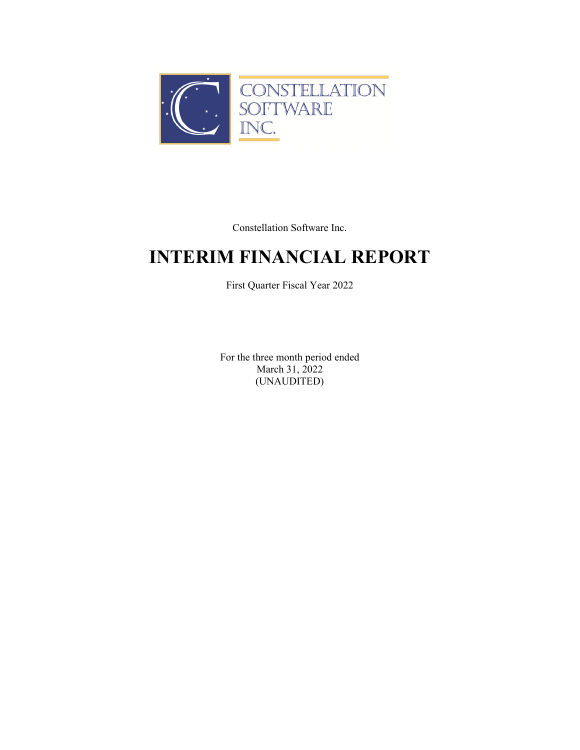

Constellation Software Inc.

# **INTERIM FINANCIAL REPORT**

First Quarter Fiscal Year 2022

For the three month period ended March 31, 2022 (UNAUDITED)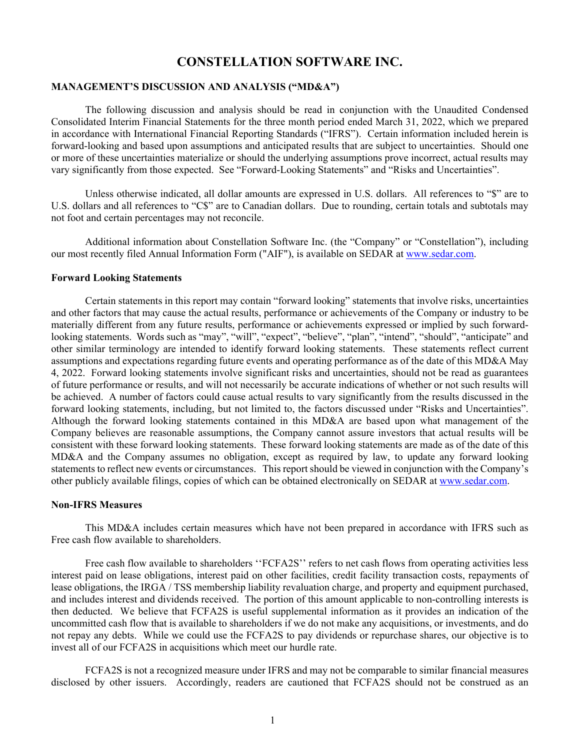#### **MANAGEMENT'S DISCUSSION AND ANALYSIS ("MD&A")**

The following discussion and analysis should be read in conjunction with the Unaudited Condensed Consolidated Interim Financial Statements for the three month period ended March 31, 2022, which we prepared in accordance with International Financial Reporting Standards ("IFRS"). Certain information included herein is forward-looking and based upon assumptions and anticipated results that are subject to uncertainties. Should one or more of these uncertainties materialize or should the underlying assumptions prove incorrect, actual results may vary significantly from those expected. See "Forward-Looking Statements" and "Risks and Uncertainties".

Unless otherwise indicated, all dollar amounts are expressed in U.S. dollars. All references to "\$" are to U.S. dollars and all references to "C\$" are to Canadian dollars. Due to rounding, certain totals and subtotals may not foot and certain percentages may not reconcile.

Additional information about Constellation Software Inc. (the "Company" or "Constellation"), including our most recently filed Annual Information Form ("AIF"), is available on SEDAR at www.sedar.com.

#### **Forward Looking Statements**

Certain statements in this report may contain "forward looking" statements that involve risks, uncertainties and other factors that may cause the actual results, performance or achievements of the Company or industry to be materially different from any future results, performance or achievements expressed or implied by such forwardlooking statements. Words such as "may", "will", "expect", "believe", "plan", "intend", "should", "anticipate" and other similar terminology are intended to identify forward looking statements. These statements reflect current assumptions and expectations regarding future events and operating performance as of the date of this MD&A May 4, 2022. Forward looking statements involve significant risks and uncertainties, should not be read as guarantees of future performance or results, and will not necessarily be accurate indications of whether or not such results will be achieved. A number of factors could cause actual results to vary significantly from the results discussed in the forward looking statements, including, but not limited to, the factors discussed under "Risks and Uncertainties". Although the forward looking statements contained in this MD&A are based upon what management of the Company believes are reasonable assumptions, the Company cannot assure investors that actual results will be consistent with these forward looking statements. These forward looking statements are made as of the date of this MD&A and the Company assumes no obligation, except as required by law, to update any forward looking statements to reflect new events or circumstances. This report should be viewed in conjunction with the Company's other publicly available filings, copies of which can be obtained electronically on SEDAR at www.sedar.com.

#### **Non-IFRS Measures**

This MD&A includes certain measures which have not been prepared in accordance with IFRS such as Free cash flow available to shareholders.

Free cash flow available to shareholders "FCFA2S" refers to net cash flows from operating activities less interest paid on lease obligations, interest paid on other facilities, credit facility transaction costs, repayments of lease obligations, the IRGA / TSS membership liability revaluation charge, and property and equipment purchased, and includes interest and dividends received. The portion of this amount applicable to non-controlling interests is then deducted. We believe that FCFA2S is useful supplemental information as it provides an indication of the uncommitted cash flow that is available to shareholders if we do not make any acquisitions, or investments, and do not repay any debts. While we could use the FCFA2S to pay dividends or repurchase shares, our objective is to invest all of our FCFA2S in acquisitions which meet our hurdle rate.

FCFA2S is not a recognized measure under IFRS and may not be comparable to similar financial measures disclosed by other issuers. Accordingly, readers are cautioned that FCFA2S should not be construed as an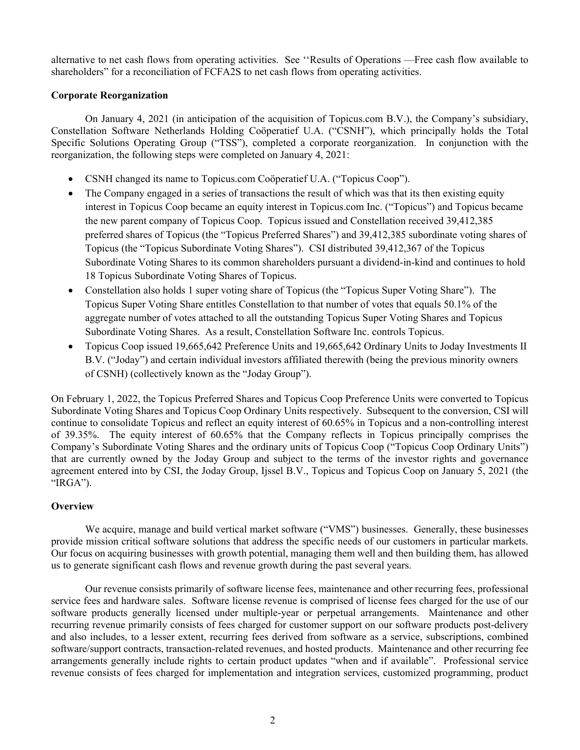alternative to net cash flows from operating activities. See ''Results of Operations —Free cash flow available to shareholders" for a reconciliation of FCFA2S to net cash flows from operating activities.

#### **Corporate Reorganization**

On January 4, 2021 (in anticipation of the acquisition of Topicus.com B.V.), the Company's subsidiary, Constellation Software Netherlands Holding Coöperatief U.A. ("CSNH"), which principally holds the Total Specific Solutions Operating Group ("TSS"), completed a corporate reorganization. In conjunction with the reorganization, the following steps were completed on January 4, 2021:

- CSNH changed its name to Topicus.com Coöperatief U.A. ("Topicus Coop").
- The Company engaged in a series of transactions the result of which was that its then existing equity interest in Topicus Coop became an equity interest in Topicus.com Inc. ("Topicus") and Topicus became the new parent company of Topicus Coop. Topicus issued and Constellation received 39,412,385 preferred shares of Topicus (the "Topicus Preferred Shares") and 39,412,385 subordinate voting shares of Topicus (the "Topicus Subordinate Voting Shares"). CSI distributed 39,412,367 of the Topicus Subordinate Voting Shares to its common shareholders pursuant a dividend-in-kind and continues to hold 18 Topicus Subordinate Voting Shares of Topicus.
- Constellation also holds 1 super voting share of Topicus (the "Topicus Super Voting Share"). The Topicus Super Voting Share entitles Constellation to that number of votes that equals 50.1% of the aggregate number of votes attached to all the outstanding Topicus Super Voting Shares and Topicus Subordinate Voting Shares. As a result, Constellation Software Inc. controls Topicus.
- Topicus Coop issued 19,665,642 Preference Units and 19,665,642 Ordinary Units to Joday Investments II B.V. ("Joday") and certain individual investors affiliated therewith (being the previous minority owners of CSNH) (collectively known as the "Joday Group").

On February 1, 2022, the Topicus Preferred Shares and Topicus Coop Preference Units were converted to Topicus Subordinate Voting Shares and Topicus Coop Ordinary Units respectively. Subsequent to the conversion, CSI will continue to consolidate Topicus and reflect an equity interest of 60.65% in Topicus and a non-controlling interest of 39.35%. The equity interest of 60.65% that the Company reflects in Topicus principally comprises the Company's Subordinate Voting Shares and the ordinary units of Topicus Coop ("Topicus Coop Ordinary Units") that are currently owned by the Joday Group and subject to the terms of the investor rights and governance agreement entered into by CSI, the Joday Group, Ijssel B.V., Topicus and Topicus Coop on January 5, 2021 (the "IRGA").

### **Overview**

We acquire, manage and build vertical market software ("VMS") businesses. Generally, these businesses provide mission critical software solutions that address the specific needs of our customers in particular markets. Our focus on acquiring businesses with growth potential, managing them well and then building them, has allowed us to generate significant cash flows and revenue growth during the past several years.

Our revenue consists primarily of software license fees, maintenance and other recurring fees, professional service fees and hardware sales. Software license revenue is comprised of license fees charged for the use of our software products generally licensed under multiple-year or perpetual arrangements. Maintenance and other recurring revenue primarily consists of fees charged for customer support on our software products post-delivery and also includes, to a lesser extent, recurring fees derived from software as a service, subscriptions, combined software/support contracts, transaction-related revenues, and hosted products. Maintenance and other recurring fee arrangements generally include rights to certain product updates "when and if available". Professional service revenue consists of fees charged for implementation and integration services, customized programming, product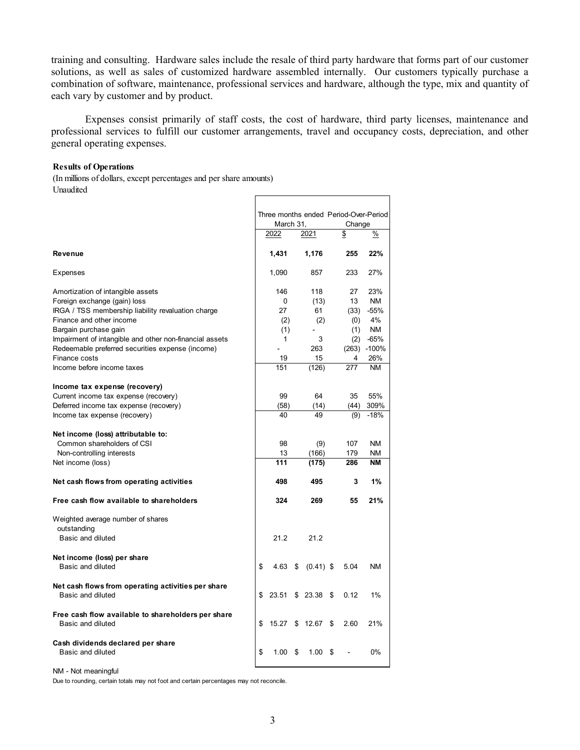training and consulting. Hardware sales include the resale of third party hardware that forms part of our customer solutions, as well as sales of customized hardware assembled internally. Our customers typically purchase a combination of software, maintenance, professional services and hardware, although the type, mix and quantity of each vary by customer and by product.

Expenses consist primarily of staff costs, the cost of hardware, third party licenses, maintenance and professional services to fulfill our customer arrangements, travel and occupancy costs, depreciation, and other general operating expenses.

#### **Results of Operations**

(In millions of dollars, except percentages and per share amounts) Unaudited

|                                                                                                                    |    |                 |    |                       |    |                   | Three months ended Period-Over-Period |
|--------------------------------------------------------------------------------------------------------------------|----|-----------------|----|-----------------------|----|-------------------|---------------------------------------|
|                                                                                                                    |    | March 31,       |    |                       |    | Change            |                                       |
|                                                                                                                    |    | 2022            |    | 2021                  |    | \$                | %                                     |
| <b>Revenue</b>                                                                                                     |    | 1,431           |    | 1,176                 |    | 255               | 22%                                   |
| <b>Expenses</b>                                                                                                    |    | 1,090           |    | 857                   |    | 233               | 27%                                   |
| Amortization of intangible assets                                                                                  |    | 146             |    | 118                   |    | 27                | 23%                                   |
| Foreign exchange (gain) loss                                                                                       |    | 0               |    | (13)                  |    | 13                | <b>NM</b>                             |
| IRGA / TSS membership liability revaluation charge                                                                 |    | 27              |    | 61                    |    | (33)              | $-55%$                                |
| Finance and other income                                                                                           |    | (2)             |    | (2)                   |    | (0)               | 4%                                    |
| Bargain purchase gain                                                                                              |    | (1)             |    |                       |    | (1)               | <b>NM</b>                             |
| Impairment of intangible and other non-financial assets                                                            |    | 1               |    | 3                     |    | (2)               | $-65%$                                |
| Redeemable preferred securities expense (income)                                                                   |    |                 |    | 263                   |    |                   | $(263) -100%$                         |
| Finance costs                                                                                                      |    | 19              |    | 15                    |    | 4                 | 26%                                   |
| Income before income taxes                                                                                         |    | 151             |    | (126)                 |    | 277               | <b>NM</b>                             |
| Income tax expense (recovery)                                                                                      |    |                 |    |                       |    |                   |                                       |
| Current income tax expense (recovery)                                                                              |    | 99              |    | 64                    |    | 35                | 55%                                   |
| Deferred income tax expense (recovery)                                                                             |    | (58)            |    | (14)                  |    | (44)              | 309%                                  |
| Income tax expense (recovery)                                                                                      |    | 40              |    | 49                    |    | (9)               | $-18%$                                |
| Net income (loss) attributable to:<br>Common shareholders of CSI<br>Non-controlling interests<br>Net income (loss) |    | 98<br>13<br>111 |    | (9)<br>(166)<br>(175) |    | 107<br>179<br>286 | <b>NM</b><br>NM.<br><b>NM</b>         |
|                                                                                                                    |    |                 |    |                       |    |                   |                                       |
| Net cash flows from operating activities                                                                           |    | 498             |    | 495                   |    | 3                 | 1%                                    |
| Free cash flow available to shareholders                                                                           |    | 324             |    | 269                   |    | 55                | 21%                                   |
| Weighted average number of shares                                                                                  |    |                 |    |                       |    |                   |                                       |
| outstanding<br>Basic and diluted                                                                                   |    | 21.2            |    | 21.2                  |    |                   |                                       |
| Net income (loss) per share                                                                                        |    |                 |    |                       |    |                   |                                       |
| Basic and diluted                                                                                                  | \$ | 4.63            | \$ | $(0.41)$ \$           |    | 5.04              | <b>NM</b>                             |
| Net cash flows from operating activities per share<br>Basic and diluted                                            | \$ | 23.51           |    | \$23.38               | \$ | 0.12              | 1%                                    |
| Free cash flow available to shareholders per share<br>Basic and diluted                                            | \$ | 15.27           | \$ | 12.67                 | \$ | 2.60              | 21%                                   |
| Cash dividends declared per share<br>Basic and diluted                                                             | \$ | 1.00            | \$ | 1.00                  | S  |                   | $0\%$                                 |

NM - Not meaningful

Due to rounding, certain totals may not foot and certain percentages may not reconcile.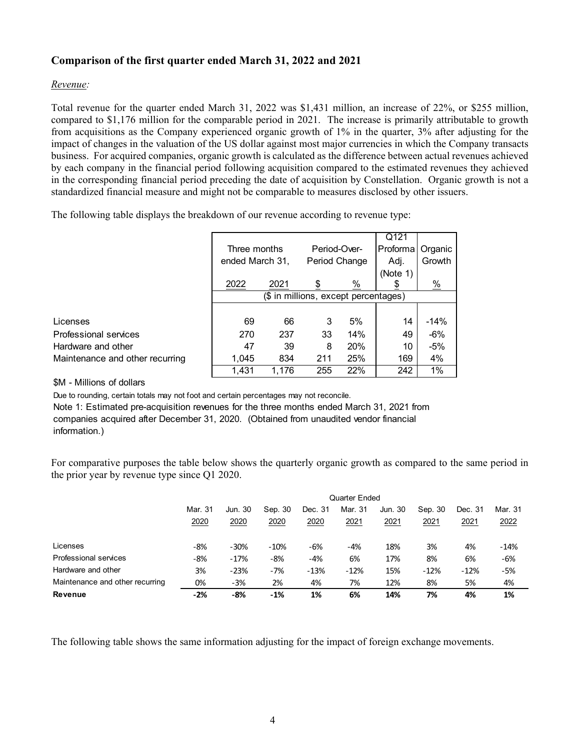### **Comparison of the first quarter ended March 31, 2022 and 2021**

#### *Revenue:*

Total revenue for the quarter ended March 31, 2022 was \$1,431 million, an increase of 22%, or \$255 million, compared to \$1,176 million for the comparable period in 2021. The increase is primarily attributable to growth from acquisitions as the Company experienced organic growth of 1% in the quarter, 3% after adjusting for the impact of changes in the valuation of the US dollar against most major currencies in which the Company transacts business. For acquired companies, organic growth is calculated as the difference between actual revenues achieved by each company in the financial period following acquisition compared to the estimated revenues they achieved in the corresponding financial period preceding the date of acquisition by Constellation. Organic growth is not a standardized financial measure and might not be comparable to measures disclosed by other issuers.

The following table displays the breakdown of our revenue according to revenue type:

|                                 |                                      |       |               |            | Q121     |                 |
|---------------------------------|--------------------------------------|-------|---------------|------------|----------|-----------------|
|                                 | Three months                         |       | Period-Over-  |            | Proforma | Organic         |
|                                 | ended March 31,                      |       | Period Change |            | Adj.     | Growth          |
|                                 |                                      |       |               |            | (Note 1) |                 |
|                                 | 2022                                 | 2021  | \$            | %          |          | $\frac{\%}{\ }$ |
|                                 | (\$ in millions, except percentages) |       |               |            |          |                 |
|                                 |                                      |       |               |            |          |                 |
| Licenses                        | 69                                   | 66    | 3             | 5%         | 14       | $-14%$          |
| Professional services           | 270                                  | 237   | 33            | 14%        | 49       | $-6%$           |
| Hardware and other              | 47                                   | 39    | 8             | <b>20%</b> | 10       | $-5%$           |
| Maintenance and other recurring | 1.045                                | 834   | 211           | 25%        | 169      | 4%              |
|                                 | 1.431                                | 1.176 | 255           | 22%        | 242      | 1%              |

\$M - Millions of dollars

Due to rounding, certain totals may not foot and certain percentages may not reconcile. Note 1: Estimated pre-acquisition revenues for the three months ended March 31, 2021 from companies acquired after December 31, 2020. (Obtained from unaudited vendor financial information.)

For comparative purposes the table below shows the quarterly organic growth as compared to the same period in the prior year by revenue type since Q1 2020.

|                                 | Quarter Ended                                                                                   |        |        |        |        |      |        |        |        |  |
|---------------------------------|-------------------------------------------------------------------------------------------------|--------|--------|--------|--------|------|--------|--------|--------|--|
|                                 | Mar. 31<br>Jun. 30<br>Mar. 31<br>Sep. 30<br>Dec. 31<br>Jun. 30<br>Sep. 30<br>Mar. 31<br>Dec. 31 |        |        |        |        |      |        |        |        |  |
|                                 | 2020                                                                                            | 2020   | 2020   | 2020   | 2021   | 2021 | 2021   | 2021   | 2022   |  |
| Licenses                        | -8%                                                                                             | $-30%$ | $-10%$ | -6%    | $-4%$  | 18%  | 3%     | 4%     | $-14%$ |  |
| Professional services           | -8%                                                                                             | $-17%$ | -8%    | -4%    | 6%     | 17%  | 8%     | 6%     | -6%    |  |
| Hardware and other              | 3%                                                                                              | $-23%$ | -7%    | $-13%$ | $-12%$ | 15%  | $-12%$ | $-12%$ | -5%    |  |
| Maintenance and other recurring | 0%                                                                                              | -3%    | 2%     | 4%     | 7%     | 12%  | 8%     | 5%     | 4%     |  |
| Revenue                         | -2%                                                                                             | -8%    | -1%    | 1%     | 6%     | 14%  | 7%     | 4%     | 1%     |  |

The following table shows the same information adjusting for the impact of foreign exchange movements.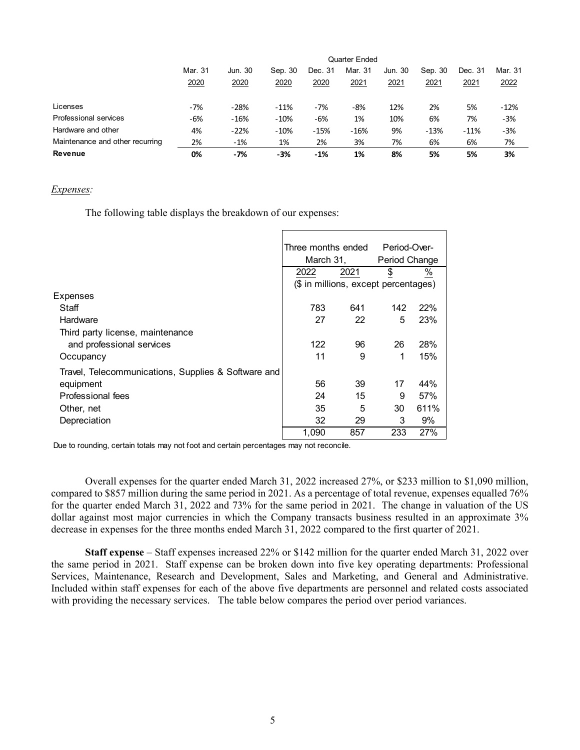|                                 |         | Quarter Ended |         |         |         |         |         |         |         |  |
|---------------------------------|---------|---------------|---------|---------|---------|---------|---------|---------|---------|--|
|                                 | Mar. 31 | Jun. 30       | Sep. 30 | Dec. 31 | Mar. 31 | Jun. 30 | Sep. 30 | Dec. 31 | Mar. 31 |  |
|                                 | 2020    | 2020          | 2020    | 2020    | 2021    | 2021    | 2021    | 2021    | 2022    |  |
| Licenses                        | $-7%$   | $-28%$        | $-11%$  | $-7%$   | $-8%$   | 12%     | 2%      | 5%      | $-12%$  |  |
| Professional services           | -6%     | $-16%$        | $-10%$  | -6%     | 1%      | 10%     | 6%      | 7%      | $-3%$   |  |
| Hardware and other              | 4%      | $-22%$        | $-10%$  | $-15%$  | $-16%$  | 9%      | $-13%$  | $-11%$  | $-3%$   |  |
| Maintenance and other recurring | 2%      | $-1%$         | 1%      | 2%      | 3%      | 7%      | 6%      | 6%      | 7%      |  |
| <b>Revenue</b>                  | 0%      | -7%           | $-3%$   | -1%     | 1%      | 8%      | 5%      | 5%      | 3%      |  |

#### *Expenses:*

The following table displays the breakdown of our expenses:

|                                                     | Three months ended<br>March 31,      |      | Period-Over-<br>Period Change |                          |  |
|-----------------------------------------------------|--------------------------------------|------|-------------------------------|--------------------------|--|
|                                                     | 2022                                 | 2021 | $\overline{\Phi}$             | $\frac{\%}{\frac{1}{2}}$ |  |
|                                                     | (\$ in millions, except percentages) |      |                               |                          |  |
| Expenses                                            |                                      |      |                               |                          |  |
| Staff                                               | 783                                  | 641  | 142                           | 22%                      |  |
| Hardware                                            | 27                                   | 22   | 5                             | 23%                      |  |
| Third party license, maintenance                    |                                      |      |                               |                          |  |
| and professional services                           | 122                                  | 96   | 26                            | 28%                      |  |
| Occupancy                                           | 11                                   | 9    | 1                             | 15%                      |  |
| Travel, Telecommunications, Supplies & Software and |                                      |      |                               |                          |  |
| equipment                                           | 56                                   | 39   | 17                            | 44%                      |  |
| Professional fees                                   | 24                                   | 15   | 9                             | 57%                      |  |
| Other, net                                          | 35                                   | 5    | 30                            | 611%                     |  |
| Depreciation                                        | 32                                   | 29   | 3                             | 9%                       |  |
|                                                     | 1,090                                | 857  | 233                           | 27%                      |  |

Due to rounding, certain totals may not foot and certain percentages may not reconcile.

Overall expenses for the quarter ended March 31, 2022 increased 27%, or \$233 million to \$1,090 million, compared to \$857 million during the same period in 2021. As a percentage of total revenue, expenses equalled 76% for the quarter ended March 31, 2022 and 73% for the same period in 2021. The change in valuation of the US dollar against most major currencies in which the Company transacts business resulted in an approximate 3% decrease in expenses for the three months ended March 31, 2022 compared to the first quarter of 2021.

**Staff expense** – Staff expenses increased 22% or \$142 million for the quarter ended March 31, 2022 over the same period in 2021. Staff expense can be broken down into five key operating departments: Professional Services, Maintenance, Research and Development, Sales and Marketing, and General and Administrative. Included within staff expenses for each of the above five departments are personnel and related costs associated with providing the necessary services. The table below compares the period over period variances.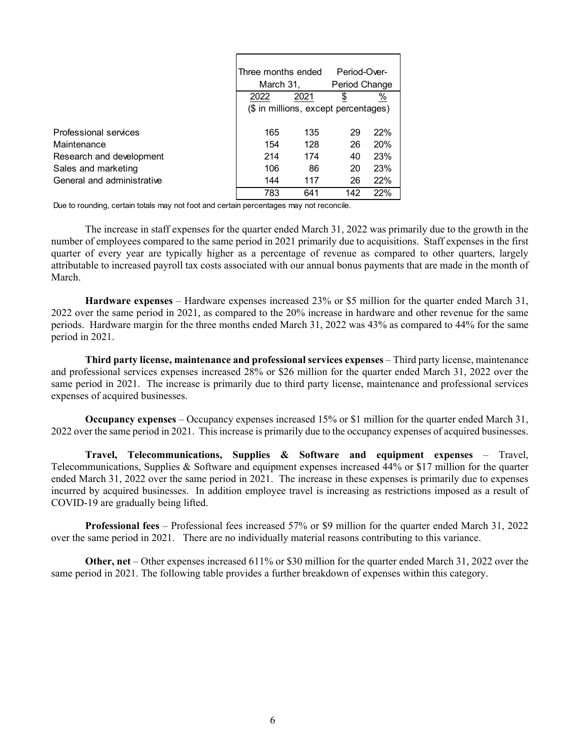|                            | Three months ended<br>March 31, |                                      | Period-Over-<br>Period Change |            |
|----------------------------|---------------------------------|--------------------------------------|-------------------------------|------------|
|                            | 2022                            | 2021                                 | \$                            | %          |
|                            |                                 | (\$ in millions, except percentages) |                               |            |
| Professional services      | 165                             | 135                                  | 29                            | 22%        |
| Maintenance                | 154                             | 128                                  | 26                            | <b>20%</b> |
| Research and development   | 214                             | 174                                  | 40                            | 23%        |
| Sales and marketing        | 106                             | 86                                   | 20                            | 23%        |
| General and administrative | 144                             | 117                                  | 26                            | 22%        |
|                            | 783                             | 641                                  | 142                           | 22%        |

Due to rounding, certain totals may not foot and certain percentages may not reconcile.

 The increase in staff expenses for the quarter ended March 31, 2022 was primarily due to the growth in the number of employees compared to the same period in 2021 primarily due to acquisitions. Staff expenses in the first quarter of every year are typically higher as a percentage of revenue as compared to other quarters, largely attributable to increased payroll tax costs associated with our annual bonus payments that are made in the month of March.

**Hardware expenses** – Hardware expenses increased 23% or \$5 million for the quarter ended March 31, 2022 over the same period in 2021, as compared to the 20% increase in hardware and other revenue for the same periods. Hardware margin for the three months ended March 31, 2022 was 43% as compared to 44% for the same period in 2021.

**Third party license, maintenance and professional services expenses** – Third party license, maintenance and professional services expenses increased 28% or \$26 million for the quarter ended March 31, 2022 over the same period in 2021. The increase is primarily due to third party license, maintenance and professional services expenses of acquired businesses.

**Occupancy expenses** – Occupancy expenses increased 15% or \$1 million for the quarter ended March 31, 2022 over the same period in 2021. This increase is primarily due to the occupancy expenses of acquired businesses.

**Travel, Telecommunications, Supplies & Software and equipment expenses** – Travel, Telecommunications, Supplies & Software and equipment expenses increased 44% or \$17 million for the quarter ended March 31, 2022 over the same period in 2021. The increase in these expenses is primarily due to expenses incurred by acquired businesses. In addition employee travel is increasing as restrictions imposed as a result of COVID-19 are gradually being lifted.

**Professional fees** – Professional fees increased 57% or \$9 million for the quarter ended March 31, 2022 over the same period in 2021. There are no individually material reasons contributing to this variance.

**Other, net** – Other expenses increased 611% or \$30 million for the quarter ended March 31, 2022 over the same period in 2021. The following table provides a further breakdown of expenses within this category.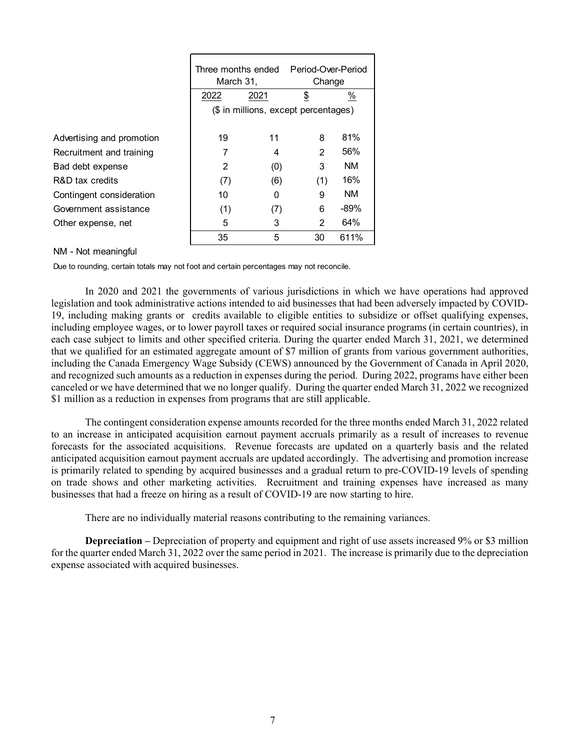|                           | March 31,                            | Three months ended | Period-Over-Period<br>Change |           |  |  |  |
|---------------------------|--------------------------------------|--------------------|------------------------------|-----------|--|--|--|
|                           | 2022                                 | 2021               | \$                           | %         |  |  |  |
|                           | (\$ in millions, except percentages) |                    |                              |           |  |  |  |
| Advertising and promotion | 19                                   | 11                 | 8                            | 81%       |  |  |  |
| Recruitment and training  |                                      | 4                  | 2                            | 56%       |  |  |  |
| Bad debt expense          | 2                                    | (0)                | 3                            | <b>NM</b> |  |  |  |
| R&D tax credits           | (7)                                  | (6)                | (1)                          | 16%       |  |  |  |
| Contingent consideration  | 10                                   | 0                  | 9                            | <b>NM</b> |  |  |  |
| Government assistance     | (1)                                  | (7)                | 6                            | $-89%$    |  |  |  |
| Other expense, net        | 5                                    | 3                  | 2                            | 64%       |  |  |  |
|                           | 35                                   | 5                  | 30                           | 611%      |  |  |  |

#### NM - Not meaningful

Due to rounding, certain totals may not foot and certain percentages may not reconcile.

In 2020 and 2021 the governments of various jurisdictions in which we have operations had approved legislation and took administrative actions intended to aid businesses that had been adversely impacted by COVID-19, including making grants or credits available to eligible entities to subsidize or offset qualifying expenses, including employee wages, or to lower payroll taxes or required social insurance programs (in certain countries), in each case subject to limits and other specified criteria. During the quarter ended March 31, 2021, we determined that we qualified for an estimated aggregate amount of \$7 million of grants from various government authorities, including the Canada Emergency Wage Subsidy (CEWS) announced by the Government of Canada in April 2020, and recognized such amounts as a reduction in expenses during the period. During 2022, programs have either been canceled or we have determined that we no longer qualify. During the quarter ended March 31, 2022 we recognized \$1 million as a reduction in expenses from programs that are still applicable.

The contingent consideration expense amounts recorded for the three months ended March 31, 2022 related to an increase in anticipated acquisition earnout payment accruals primarily as a result of increases to revenue forecasts for the associated acquisitions. Revenue forecasts are updated on a quarterly basis and the related anticipated acquisition earnout payment accruals are updated accordingly. The advertising and promotion increase is primarily related to spending by acquired businesses and a gradual return to pre-COVID-19 levels of spending on trade shows and other marketing activities. Recruitment and training expenses have increased as many businesses that had a freeze on hiring as a result of COVID-19 are now starting to hire.

There are no individually material reasons contributing to the remaining variances.

**Depreciation –** Depreciation of property and equipment and right of use assets increased 9% or \$3 million for the quarter ended March 31, 2022 over the same period in 2021. The increase is primarily due to the depreciation expense associated with acquired businesses.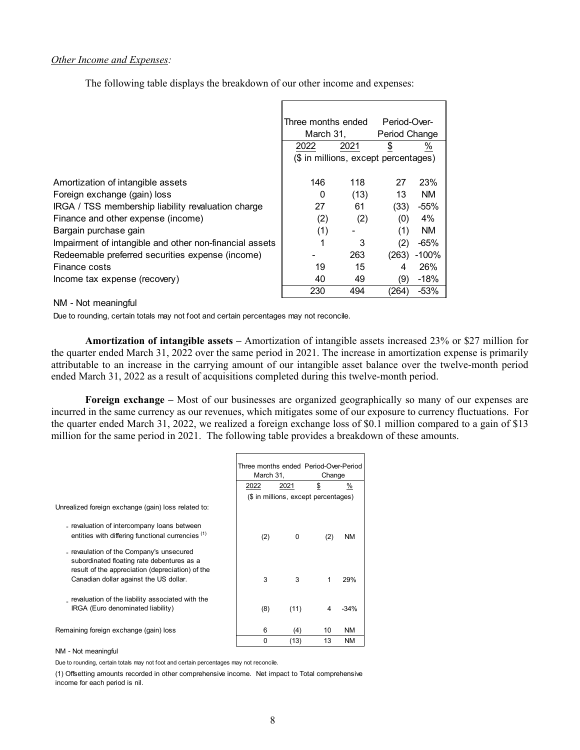#### *Other Income and Expenses:*

The following table displays the breakdown of our other income and expenses:

|                                                         | Three months ended                   |      | Period-Over-  |           |
|---------------------------------------------------------|--------------------------------------|------|---------------|-----------|
|                                                         | March 31,                            |      | Period Change |           |
|                                                         | 2022                                 | 2021 | \$            | %         |
|                                                         | (\$ in millions, except percentages) |      |               |           |
|                                                         |                                      |      |               |           |
| Amortization of intangible assets                       | 146                                  | 118  | 27            | 23%       |
| Foreign exchange (gain) loss                            | 0                                    | (13) | 13            | <b>NM</b> |
| IRGA / TSS membership liability revaluation charge      | 27                                   | 61   | (33)          | $-55%$    |
| Finance and other expense (income)                      | (2)                                  | (2)  | (0)           | 4%        |
| Bargain purchase gain                                   | (1)                                  |      | (1)           | <b>NM</b> |
| Impairment of intangible and other non-financial assets |                                      | 3    |               | -65%      |
| Redeemable preferred securities expense (income)        |                                      | 263  | (263)         | $-100%$   |
| Finance costs                                           | 19                                   | 15   |               | 26%       |
| Income tax expense (recovery)                           | 40                                   | 49   | (9)           | $-18%$    |
|                                                         | 230                                  | 494  | (264)         | $-53%$    |

NM - Not meaningful

Due to rounding, certain totals may not foot and certain percentages may not reconcile.

**Amortization of intangible assets –** Amortization of intangible assets increased 23% or \$27 million for the quarter ended March 31, 2022 over the same period in 2021. The increase in amortization expense is primarily attributable to an increase in the carrying amount of our intangible asset balance over the twelve-month period ended March 31, 2022 as a result of acquisitions completed during this twelve-month period.

**Foreign exchange –** Most of our businesses are organized geographically so many of our expenses are incurred in the same currency as our revenues, which mitigates some of our exposure to currency fluctuations. For the quarter ended March 31, 2022, we realized a foreign exchange loss of \$0.1 million compared to a gain of \$13 million for the same period in 2021. The following table provides a breakdown of these amounts.

|                                                                                                                                                                                      | Three months ended Period-Over-Period<br>March 31, |                                      | Change |           |
|--------------------------------------------------------------------------------------------------------------------------------------------------------------------------------------|----------------------------------------------------|--------------------------------------|--------|-----------|
|                                                                                                                                                                                      | 2022                                               | 2021                                 | \$     | %         |
|                                                                                                                                                                                      |                                                    | (\$ in millions, except percentages) |        |           |
| Unrealized foreign exchange (gain) loss related to:                                                                                                                                  |                                                    |                                      |        |           |
| - revaluation of intercompany loans between<br>entities with differing functional currencies (1)                                                                                     | (2)                                                | 0                                    | (2)    | <b>NM</b> |
| - revaulation of the Company's unsecured<br>subordinated floating rate debentures as a<br>result of the appreciation (depreciation) of the<br>Canadian dollar against the US dollar. | 3                                                  | 3                                    | 1      | 29%       |
| revaluation of the liability associated with the<br>IRGA (Euro denominated liability)                                                                                                | (8)                                                | (11)                                 | 4      | $-34\%$   |
| Remaining foreign exchange (gain) loss                                                                                                                                               | 6                                                  | (4)                                  | 10     | NM.       |
|                                                                                                                                                                                      | 0                                                  | (13)                                 | 13     | <b>NM</b> |

NM - Not meaningful

Due to rounding, certain totals may not foot and certain percentages may not reconcile.

 income for each period is nil. (1) Offsetting amounts recorded in other comprehensive income. Net impact to Total comprehensive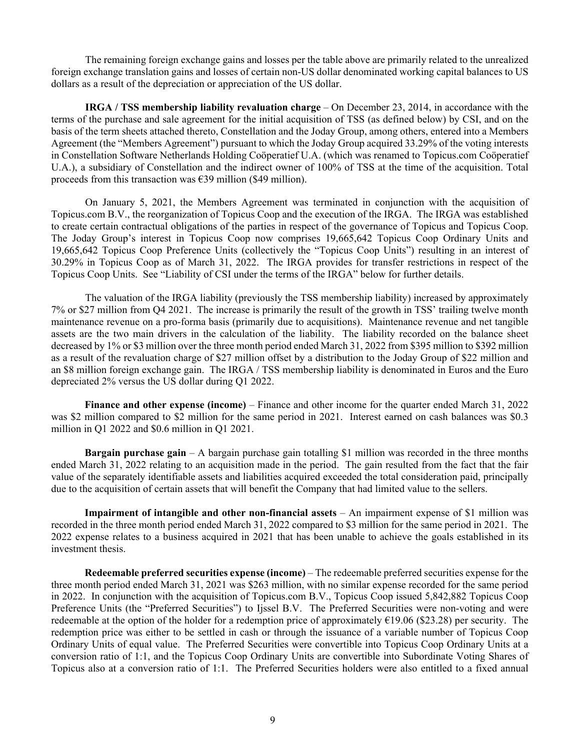The remaining foreign exchange gains and losses per the table above are primarily related to the unrealized foreign exchange translation gains and losses of certain non-US dollar denominated working capital balances to US dollars as a result of the depreciation or appreciation of the US dollar.

**IRGA / TSS membership liability revaluation charge** – On December 23, 2014, in accordance with the terms of the purchase and sale agreement for the initial acquisition of TSS (as defined below) by CSI, and on the basis of the term sheets attached thereto, Constellation and the Joday Group, among others, entered into a Members Agreement (the "Members Agreement") pursuant to which the Joday Group acquired 33.29% of the voting interests in Constellation Software Netherlands Holding Coöperatief U.A. (which was renamed to Topicus.com Coöperatief U.A.), a subsidiary of Constellation and the indirect owner of 100% of TSS at the time of the acquisition. Total proceeds from this transaction was  $\epsilon$ 39 million (\$49 million).

On January 5, 2021, the Members Agreement was terminated in conjunction with the acquisition of Topicus.com B.V., the reorganization of Topicus Coop and the execution of the IRGA. The IRGA was established to create certain contractual obligations of the parties in respect of the governance of Topicus and Topicus Coop. The Joday Group's interest in Topicus Coop now comprises 19,665,642 Topicus Coop Ordinary Units and 19,665,642 Topicus Coop Preference Units (collectively the "Topicus Coop Units") resulting in an interest of 30.29% in Topicus Coop as of March 31, 2022. The IRGA provides for transfer restrictions in respect of the Topicus Coop Units. See "Liability of CSI under the terms of the IRGA" below for further details.

The valuation of the IRGA liability (previously the TSS membership liability) increased by approximately 7% or \$27 million from Q4 2021. The increase is primarily the result of the growth in TSS' trailing twelve month maintenance revenue on a pro-forma basis (primarily due to acquisitions). Maintenance revenue and net tangible assets are the two main drivers in the calculation of the liability. The liability recorded on the balance sheet decreased by 1% or \$3 million over the three month period ended March 31, 2022 from \$395 million to \$392 million as a result of the revaluation charge of \$27 million offset by a distribution to the Joday Group of \$22 million and an \$8 million foreign exchange gain. The IRGA / TSS membership liability is denominated in Euros and the Euro depreciated 2% versus the US dollar during Q1 2022.

**Finance and other expense (income)** – Finance and other income for the quarter ended March 31, 2022 was \$2 million compared to \$2 million for the same period in 2021. Interest earned on cash balances was \$0.3 million in Q1 2022 and \$0.6 million in Q1 2021.

**Bargain purchase gain** – A bargain purchase gain totalling \$1 million was recorded in the three months ended March 31, 2022 relating to an acquisition made in the period. The gain resulted from the fact that the fair value of the separately identifiable assets and liabilities acquired exceeded the total consideration paid, principally due to the acquisition of certain assets that will benefit the Company that had limited value to the sellers.

**Impairment of intangible and other non-financial assets** – An impairment expense of \$1 million was recorded in the three month period ended March 31, 2022 compared to \$3 million for the same period in 2021. The 2022 expense relates to a business acquired in 2021 that has been unable to achieve the goals established in its investment thesis.

**Redeemable preferred securities expense (income)** – The redeemable preferred securities expense for the three month period ended March 31, 2021 was \$263 million, with no similar expense recorded for the same period in 2022. In conjunction with the acquisition of Topicus.com B.V., Topicus Coop issued 5,842,882 Topicus Coop Preference Units (the "Preferred Securities") to Ijssel B.V. The Preferred Securities were non-voting and were redeemable at the option of the holder for a redemption price of approximately  $£19.06$  (\$23.28) per security. The redemption price was either to be settled in cash or through the issuance of a variable number of Topicus Coop Ordinary Units of equal value. The Preferred Securities were convertible into Topicus Coop Ordinary Units at a conversion ratio of 1:1, and the Topicus Coop Ordinary Units are convertible into Subordinate Voting Shares of Topicus also at a conversion ratio of 1:1. The Preferred Securities holders were also entitled to a fixed annual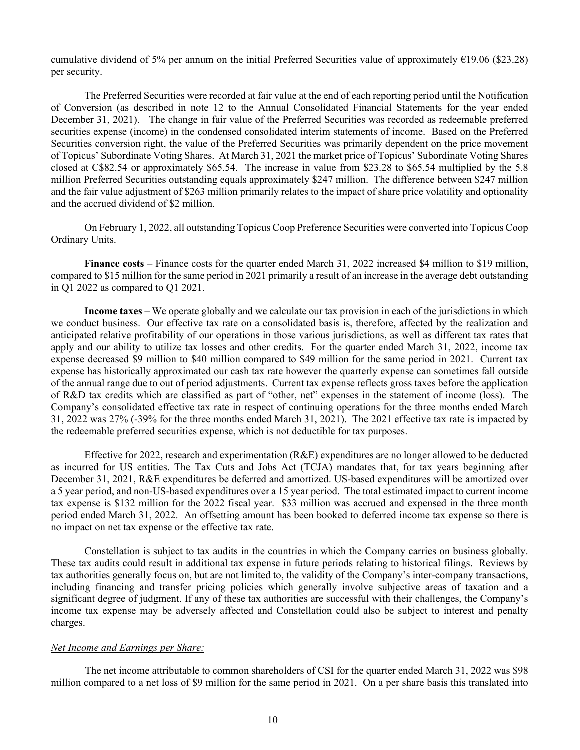cumulative dividend of 5% per annum on the initial Preferred Securities value of approximately €19.06 (\$23.28) per security.

The Preferred Securities were recorded at fair value at the end of each reporting period until the Notification of Conversion (as described in note 12 to the Annual Consolidated Financial Statements for the year ended December 31, 2021). The change in fair value of the Preferred Securities was recorded as redeemable preferred securities expense (income) in the condensed consolidated interim statements of income. Based on the Preferred Securities conversion right, the value of the Preferred Securities was primarily dependent on the price movement of Topicus' Subordinate Voting Shares. At March 31, 2021 the market price of Topicus' Subordinate Voting Shares closed at C\$82.54 or approximately \$65.54. The increase in value from \$23.28 to \$65.54 multiplied by the 5.8 million Preferred Securities outstanding equals approximately \$247 million. The difference between \$247 million and the fair value adjustment of \$263 million primarily relates to the impact of share price volatility and optionality and the accrued dividend of \$2 million.

On February 1, 2022, all outstanding Topicus Coop Preference Securities were converted into Topicus Coop Ordinary Units.

**Finance costs** – Finance costs for the quarter ended March 31, 2022 increased \$4 million to \$19 million, compared to \$15 million for the same period in 2021 primarily a result of an increase in the average debt outstanding in Q1 2022 as compared to Q1 2021.

**Income taxes –** We operate globally and we calculate our tax provision in each of the jurisdictions in which we conduct business. Our effective tax rate on a consolidated basis is, therefore, affected by the realization and anticipated relative profitability of our operations in those various jurisdictions, as well as different tax rates that apply and our ability to utilize tax losses and other credits. For the quarter ended March 31, 2022, income tax expense decreased \$9 million to \$40 million compared to \$49 million for the same period in 2021. Current tax expense has historically approximated our cash tax rate however the quarterly expense can sometimes fall outside of the annual range due to out of period adjustments. Current tax expense reflects gross taxes before the application of R&D tax credits which are classified as part of "other, net" expenses in the statement of income (loss). The Company's consolidated effective tax rate in respect of continuing operations for the three months ended March 31, 2022 was 27% (-39% for the three months ended March 31, 2021). The 2021 effective tax rate is impacted by the redeemable preferred securities expense, which is not deductible for tax purposes.

Effective for 2022, research and experimentation (R&E) expenditures are no longer allowed to be deducted as incurred for US entities. The Tax Cuts and Jobs Act (TCJA) mandates that, for tax years beginning after December 31, 2021, R&E expenditures be deferred and amortized. US-based expenditures will be amortized over a 5 year period, and non-US-based expenditures over a 15 year period. The total estimated impact to current income tax expense is \$132 million for the 2022 fiscal year. \$33 million was accrued and expensed in the three month period ended March 31, 2022. An offsetting amount has been booked to deferred income tax expense so there is no impact on net tax expense or the effective tax rate.

Constellation is subject to tax audits in the countries in which the Company carries on business globally. These tax audits could result in additional tax expense in future periods relating to historical filings. Reviews by tax authorities generally focus on, but are not limited to, the validity of the Company's inter-company transactions, including financing and transfer pricing policies which generally involve subjective areas of taxation and a significant degree of judgment. If any of these tax authorities are successful with their challenges, the Company's income tax expense may be adversely affected and Constellation could also be subject to interest and penalty charges.

#### *Net Income and Earnings per Share:*

The net income attributable to common shareholders of CSI for the quarter ended March 31, 2022 was \$98 million compared to a net loss of \$9 million for the same period in 2021. On a per share basis this translated into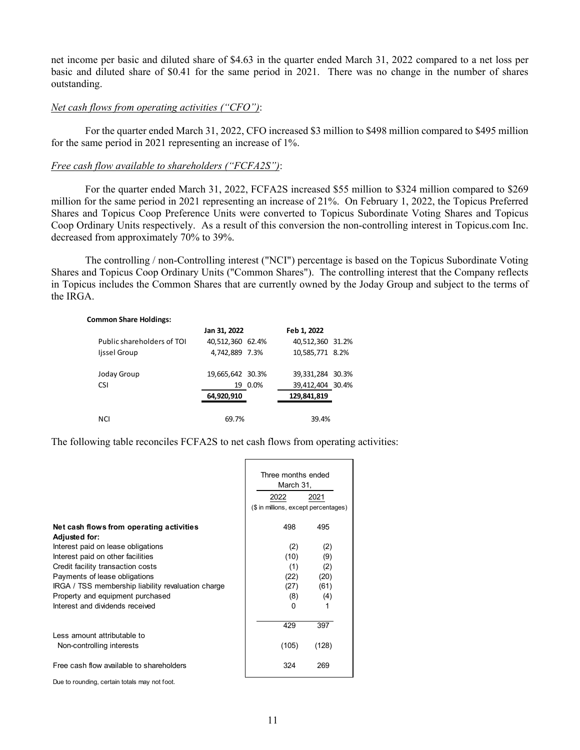net income per basic and diluted share of \$4.63 in the quarter ended March 31, 2022 compared to a net loss per basic and diluted share of \$0.41 for the same period in 2021. There was no change in the number of shares outstanding.

#### *Net cash flows from operating activities ("CFO")*:

For the quarter ended March 31, 2022, CFO increased \$3 million to \$498 million compared to \$495 million for the same period in 2021 representing an increase of 1%.

### *Free cash flow available to shareholders ("FCFA2S")*:

For the quarter ended March 31, 2022, FCFA2S increased \$55 million to \$324 million compared to \$269 million for the same period in 2021 representing an increase of 21%. On February 1, 2022, the Topicus Preferred Shares and Topicus Coop Preference Units were converted to Topicus Subordinate Voting Shares and Topicus Coop Ordinary Units respectively. As a result of this conversion the non-controlling interest in Topicus.com Inc. decreased from approximately 70% to 39%.

The controlling / non-Controlling interest ("NCI") percentage is based on the Topicus Subordinate Voting Shares and Topicus Coop Ordinary Units ("Common Shares"). The controlling interest that the Company reflects in Topicus includes the Common Shares that are currently owned by the Joday Group and subject to the terms of the IRGA.

#### **Common Share Holdings:**

|                            | Jan 31, 2022     |         | Feb 1, 2022      |  |
|----------------------------|------------------|---------|------------------|--|
| Public shareholders of TOI | 40,512,360 62.4% |         | 40,512,360 31.2% |  |
| Ijssel Group               | 4,742,889 7.3%   |         | 10,585,771 8.2%  |  |
| Joday Group                | 19,665,642 30.3% |         | 39,331,284 30.3% |  |
| <b>CSI</b>                 |                  | 19 0.0% | 39,412,404 30.4% |  |
|                            | 64,920,910       |         | 129,841,819      |  |
| <b>NCI</b>                 | 69.7%            |         | 39.4%            |  |

The following table reconciles FCFA2S to net cash flows from operating activities:

|                                                                  | Three months ended<br>March 31,<br>2022<br>2021 |                                      |  |  |
|------------------------------------------------------------------|-------------------------------------------------|--------------------------------------|--|--|
|                                                                  |                                                 | (\$ in millions, except percentages) |  |  |
| Net cash flows from operating activities<br><b>Adjusted for:</b> | 498                                             | 495                                  |  |  |
| Interest paid on lease obligations                               | (2)                                             | (2)                                  |  |  |
| Interest paid on other facilities                                | (10)                                            | (9)                                  |  |  |
| Credit facility transaction costs                                | (1)                                             | (2)                                  |  |  |
| Payments of lease obligations                                    | (22)                                            | (20)                                 |  |  |
| IRGA / TSS membership liability revaluation charge               | (27)                                            | (61)                                 |  |  |
| Property and equipment purchased                                 | (8)                                             | (4)                                  |  |  |
| Interest and dividends received                                  | 0                                               | 1                                    |  |  |
| Less amount attributable to                                      | 429                                             | 397                                  |  |  |
| Non-controlling interests                                        | (105)                                           | (128)                                |  |  |
| Free cash flow available to shareholders                         | 324                                             | 269                                  |  |  |
| Due to rounding, certain totals may not foot.                    |                                                 |                                      |  |  |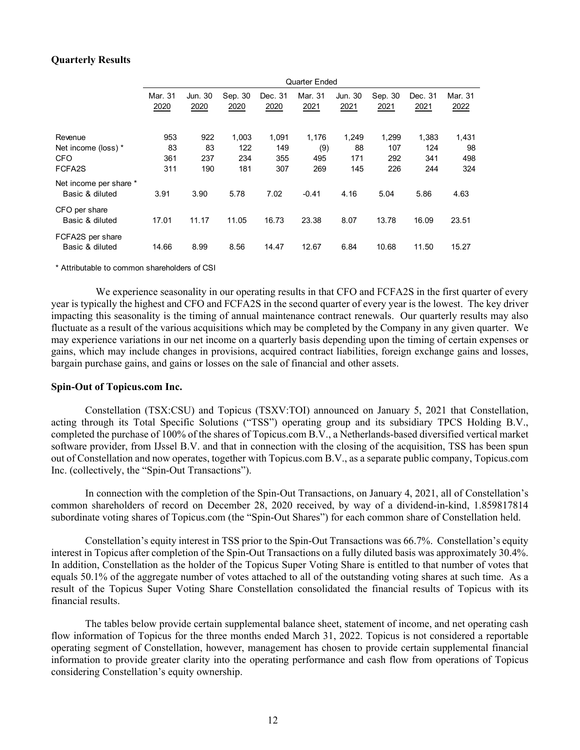#### **Quarterly Results**

|                                           |                 |                 |                 |                 | <b>Quarter Ended</b> |                 |                 |                 |                 |
|-------------------------------------------|-----------------|-----------------|-----------------|-----------------|----------------------|-----------------|-----------------|-----------------|-----------------|
|                                           | Mar. 31<br>2020 | Jun. 30<br>2020 | Sep. 30<br>2020 | Dec. 31<br>2020 | Mar. 31<br>2021      | Jun. 30<br>2021 | Sep. 30<br>2021 | Dec. 31<br>2021 | Mar. 31<br>2022 |
| Revenue                                   | 953             | 922             | 1,003           | 1,091           | 1,176                | 1,249           | 1,299           | 1,383           | 1,431           |
| Net income (loss) *                       | 83              | 83              | 122             | 149             | (9)                  | 88              | 107             | 124             | 98              |
| <b>CFO</b>                                | 361             | 237             | 234             | 355             | 495                  | 171             | 292             | 341             | 498             |
| FCFA2S                                    | 311             | 190             | 181             | 307             | 269                  | 145             | 226             | 244             | 324             |
| Net income per share *<br>Basic & diluted | 3.91            | 3.90            | 5.78            | 7.02            | $-0.41$              | 4.16            | 5.04            | 5.86            | 4.63            |
| CFO per share<br>Basic & diluted          | 17.01           | 11.17           | 11.05           | 16.73           | 23.38                | 8.07            | 13.78           | 16.09           | 23.51           |
| FCFA2S per share<br>Basic & diluted       | 14.66           | 8.99            | 8.56            | 14.47           | 12.67                | 6.84            | 10.68           | 11.50           | 15.27           |

\* Attributable to common shareholders of CSI

We experience seasonality in our operating results in that CFO and FCFA2S in the first quarter of every year is typically the highest and CFO and FCFA2S in the second quarter of every year is the lowest. The key driver impacting this seasonality is the timing of annual maintenance contract renewals. Our quarterly results may also fluctuate as a result of the various acquisitions which may be completed by the Company in any given quarter. We may experience variations in our net income on a quarterly basis depending upon the timing of certain expenses or gains, which may include changes in provisions, acquired contract liabilities, foreign exchange gains and losses, bargain purchase gains, and gains or losses on the sale of financial and other assets.

#### **Spin-Out of Topicus.com Inc.**

Constellation (TSX:CSU) and Topicus (TSXV:TOI) announced on January 5, 2021 that Constellation, acting through its Total Specific Solutions ("TSS") operating group and its subsidiary TPCS Holding B.V., completed the purchase of 100% of the shares of Topicus.com B.V., a Netherlands-based diversified vertical market software provider, from IJssel B.V. and that in connection with the closing of the acquisition, TSS has been spun out of Constellation and now operates, together with Topicus.com B.V., as a separate public company, Topicus.com Inc. (collectively, the "Spin-Out Transactions").

In connection with the completion of the Spin-Out Transactions, on January 4, 2021, all of Constellation's common shareholders of record on December 28, 2020 received, by way of a dividend-in-kind, 1.859817814 subordinate voting shares of Topicus.com (the "Spin-Out Shares") for each common share of Constellation held.

Constellation's equity interest in TSS prior to the Spin-Out Transactions was 66.7%. Constellation's equity interest in Topicus after completion of the Spin-Out Transactions on a fully diluted basis was approximately 30.4%. In addition, Constellation as the holder of the Topicus Super Voting Share is entitled to that number of votes that equals 50.1% of the aggregate number of votes attached to all of the outstanding voting shares at such time. As a result of the Topicus Super Voting Share Constellation consolidated the financial results of Topicus with its financial results.

The tables below provide certain supplemental balance sheet, statement of income, and net operating cash flow information of Topicus for the three months ended March 31, 2022. Topicus is not considered a reportable operating segment of Constellation, however, management has chosen to provide certain supplemental financial information to provide greater clarity into the operating performance and cash flow from operations of Topicus considering Constellation's equity ownership.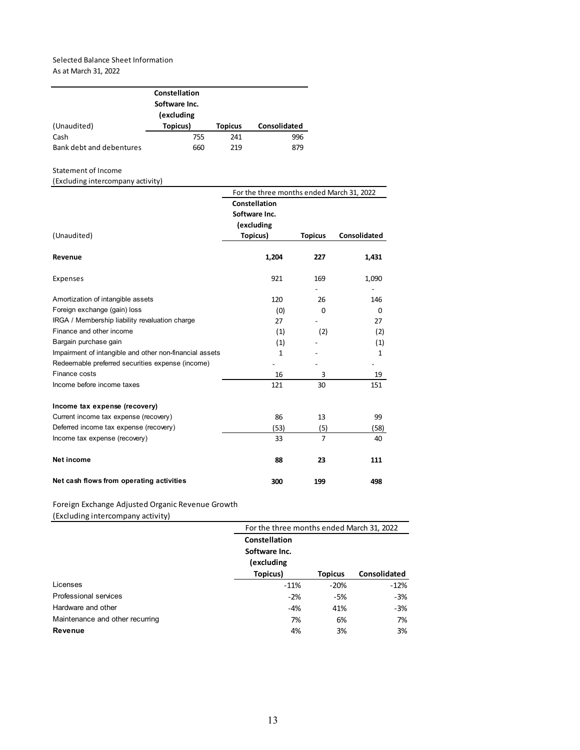#### Selected Balance Sheet Information As at March 31, 2022

|             | Constellation |                |              |
|-------------|---------------|----------------|--------------|
|             |               |                |              |
|             | (excluding    |                |              |
| (Unaudited) | Topicus)      | <b>Topicus</b> | Consolidated |
|             |               |                |              |
| Cash        | 755           | 241            | 996          |

#### Statement of Income

#### (Excluding intercompany activity)

|                                                         | For the three months ended March 31, 2022 |                |              |  |  |  |
|---------------------------------------------------------|-------------------------------------------|----------------|--------------|--|--|--|
|                                                         | Constellation                             |                |              |  |  |  |
|                                                         | Software Inc.                             |                |              |  |  |  |
|                                                         | (excluding                                |                |              |  |  |  |
| (Unaudited)                                             | Topicus)                                  | <b>Topicus</b> | Consolidated |  |  |  |
| Revenue                                                 | 1,204                                     | 227            | 1,431        |  |  |  |
| Expenses                                                | 921                                       | 169            | 1,090        |  |  |  |
| Amortization of intangible assets                       | 120                                       | 26             | 146          |  |  |  |
| Foreign exchange (gain) loss                            | (0)                                       | $\Omega$       | $\Omega$     |  |  |  |
| IRGA / Membership liability revaluation charge          | 27                                        |                | 27           |  |  |  |
| Finance and other income                                | (1)                                       | (2)            | (2)          |  |  |  |
| Bargain purchase gain                                   | (1)                                       |                | (1)          |  |  |  |
| Impairment of intangible and other non-financial assets | 1                                         |                | $\mathbf{1}$ |  |  |  |
| Redeemable preferred securities expense (income)        |                                           |                |              |  |  |  |
| Finance costs                                           | 16                                        | 3              | 19           |  |  |  |
| Income before income taxes                              | 121                                       | 30             | 151          |  |  |  |
| Income tax expense (recovery)                           |                                           |                |              |  |  |  |
| Current income tax expense (recovery)                   | 86                                        | 13             | 99           |  |  |  |
| Deferred income tax expense (recovery)                  | (53)                                      | (5)            | (58)         |  |  |  |
| Income tax expense (recovery)                           | 33                                        | $\overline{7}$ | 40           |  |  |  |
| Net income                                              | 88                                        | 23             | 111          |  |  |  |
| Net cash flows from operating activities                | 300                                       | 199            | 498          |  |  |  |

#### Foreign Exchange Adjusted Organic Revenue Growth

(Excluding intercompany activity)

|                                 | For the three months ended March 31, 2022 |                |              |  |  |  |  |
|---------------------------------|-------------------------------------------|----------------|--------------|--|--|--|--|
|                                 | Constellation                             |                |              |  |  |  |  |
|                                 | Software Inc.                             |                |              |  |  |  |  |
|                                 | (excluding                                |                |              |  |  |  |  |
|                                 | Topicus)                                  | <b>Topicus</b> | Consolidated |  |  |  |  |
| Licenses                        | $-11%$                                    | $-20%$         | $-12%$       |  |  |  |  |
| Professional services           | $-2%$                                     | $-5%$          | $-3%$        |  |  |  |  |
| Hardware and other              | $-4%$                                     | 41%            | $-3%$        |  |  |  |  |
| Maintenance and other recurring | 7%                                        | 6%             | 7%           |  |  |  |  |
| Revenue                         | 4%                                        | 3%             | 3%           |  |  |  |  |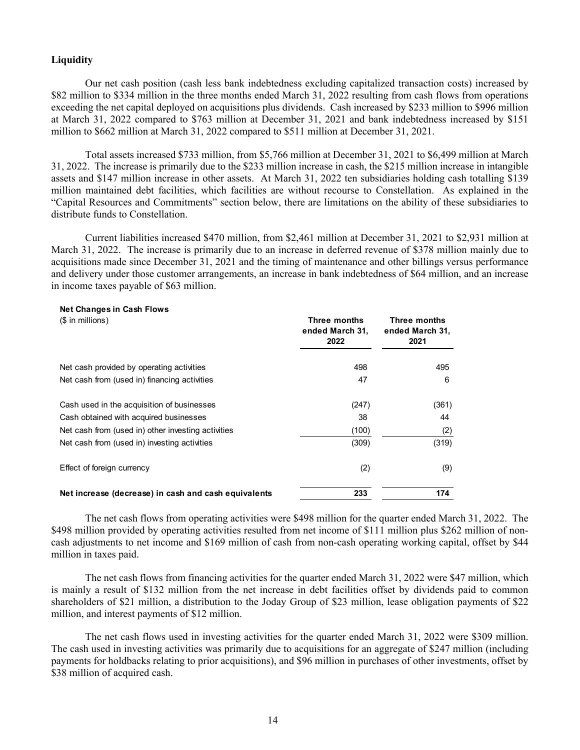#### **Liquidity**

**Net Changes in Cash Flows**

Our net cash position (cash less bank indebtedness excluding capitalized transaction costs) increased by \$82 million to \$334 million in the three months ended March 31, 2022 resulting from cash flows from operations exceeding the net capital deployed on acquisitions plus dividends. Cash increased by \$233 million to \$996 million at March 31, 2022 compared to \$763 million at December 31, 2021 and bank indebtedness increased by \$151 million to \$662 million at March 31, 2022 compared to \$511 million at December 31, 2021.

Total assets increased \$733 million, from \$5,766 million at December 31, 2021 to \$6,499 million at March 31, 2022. The increase is primarily due to the \$233 million increase in cash, the \$215 million increase in intangible assets and \$147 million increase in other assets. At March 31, 2022 ten subsidiaries holding cash totalling \$139 million maintained debt facilities, which facilities are without recourse to Constellation. As explained in the "Capital Resources and Commitments" section below, there are limitations on the ability of these subsidiaries to distribute funds to Constellation.

Current liabilities increased \$470 million, from \$2,461 million at December 31, 2021 to \$2,931 million at March 31, 2022. The increase is primarily due to an increase in deferred revenue of \$378 million mainly due to acquisitions made since December 31, 2021 and the timing of maintenance and other billings versus performance and delivery under those customer arrangements, an increase in bank indebtedness of \$64 million, and an increase in income taxes payable of \$63 million.

| $1.001$ . The rights in the second field $1.001$<br>$($$ in millions) | Three months<br>ended March 31,<br>2022 | Three months<br>ended March 31,<br>2021 |  |  |
|-----------------------------------------------------------------------|-----------------------------------------|-----------------------------------------|--|--|
| Net cash provided by operating activities                             | 498                                     | 495                                     |  |  |
| Net cash from (used in) financing activities                          | 47                                      | 6                                       |  |  |
| Cash used in the acquisition of businesses                            | (247)                                   | (361)                                   |  |  |
| Cash obtained with acquired businesses                                | 38                                      | 44                                      |  |  |
| Net cash from (used in) other investing activities                    | (100)                                   | (2)                                     |  |  |
| Net cash from (used in) investing activities                          | (309)                                   | (319)                                   |  |  |
| Effect of foreign currency                                            | (2)                                     | (9)                                     |  |  |
| Net increase (decrease) in cash and cash equivalents                  | 233                                     | 174                                     |  |  |

The net cash flows from operating activities were \$498 million for the quarter ended March 31, 2022. The \$498 million provided by operating activities resulted from net income of \$111 million plus \$262 million of noncash adjustments to net income and \$169 million of cash from non-cash operating working capital, offset by \$44 million in taxes paid.

The net cash flows from financing activities for the quarter ended March 31, 2022 were \$47 million, which is mainly a result of \$132 million from the net increase in debt facilities offset by dividends paid to common shareholders of \$21 million, a distribution to the Joday Group of \$23 million, lease obligation payments of \$22 million, and interest payments of \$12 million.

The net cash flows used in investing activities for the quarter ended March 31, 2022 were \$309 million. The cash used in investing activities was primarily due to acquisitions for an aggregate of \$247 million (including payments for holdbacks relating to prior acquisitions), and \$96 million in purchases of other investments, offset by \$38 million of acquired cash.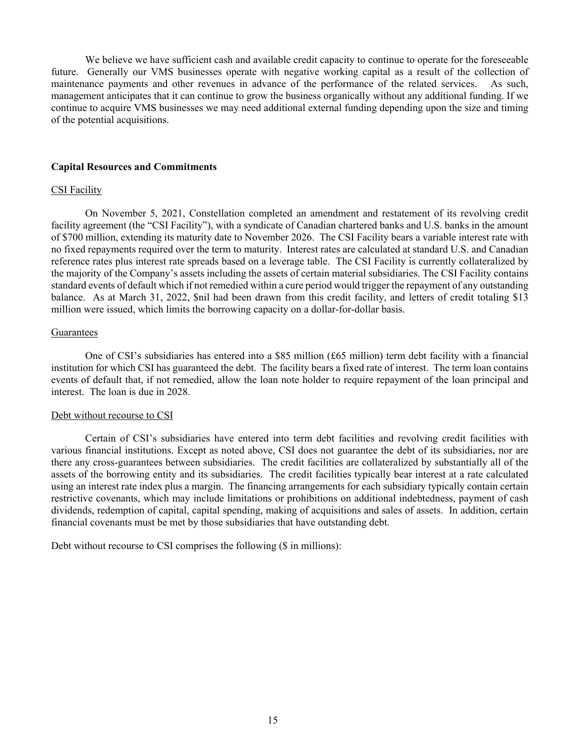We believe we have sufficient cash and available credit capacity to continue to operate for the foreseeable future. Generally our VMS businesses operate with negative working capital as a result of the collection of maintenance payments and other revenues in advance of the performance of the related services. As such, management anticipates that it can continue to grow the business organically without any additional funding. If we continue to acquire VMS businesses we may need additional external funding depending upon the size and timing of the potential acquisitions.

#### **Capital Resources and Commitments**

#### CSI Facility

On November 5, 2021, Constellation completed an amendment and restatement of its revolving credit facility agreement (the "CSI Facility"), with a syndicate of Canadian chartered banks and U.S. banks in the amount of \$700 million, extending its maturity date to November 2026. The CSI Facility bears a variable interest rate with no fixed repayments required over the term to maturity. Interest rates are calculated at standard U.S. and Canadian reference rates plus interest rate spreads based on a leverage table. The CSI Facility is currently collateralized by the majority of the Company's assets including the assets of certain material subsidiaries. The CSI Facility contains standard events of default which if not remedied within a cure period would trigger the repayment of any outstanding balance. As at March 31, 2022, \$nil had been drawn from this credit facility, and letters of credit totaling \$13 million were issued, which limits the borrowing capacity on a dollar-for-dollar basis.

#### Guarantees

One of CSI's subsidiaries has entered into a \$85 million (£65 million) term debt facility with a financial institution for which CSI has guaranteed the debt. The facility bears a fixed rate of interest. The term loan contains events of default that, if not remedied, allow the loan note holder to require repayment of the loan principal and interest. The loan is due in 2028.

#### Debt without recourse to CSI

Certain of CSI's subsidiaries have entered into term debt facilities and revolving credit facilities with various financial institutions. Except as noted above, CSI does not guarantee the debt of its subsidiaries, nor are there any cross-guarantees between subsidiaries. The credit facilities are collateralized by substantially all of the assets of the borrowing entity and its subsidiaries. The credit facilities typically bear interest at a rate calculated using an interest rate index plus a margin. The financing arrangements for each subsidiary typically contain certain restrictive covenants, which may include limitations or prohibitions on additional indebtedness, payment of cash dividends, redemption of capital, capital spending, making of acquisitions and sales of assets. In addition, certain financial covenants must be met by those subsidiaries that have outstanding debt.

Debt without recourse to CSI comprises the following (\$ in millions):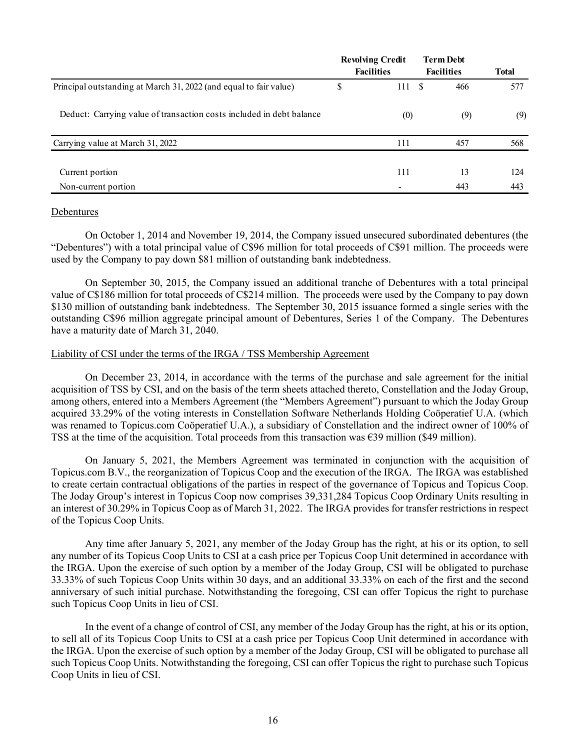|                                                                      | <b>Revolving Credit</b><br><b>Facilities</b> | <b>Term Debt</b><br><b>Facilities</b> | <b>Total</b> |
|----------------------------------------------------------------------|----------------------------------------------|---------------------------------------|--------------|
| Principal outstanding at March 31, 2022 (and equal to fair value)    | \$<br>111S                                   | 466                                   | 577          |
| Deduct: Carrying value of transaction costs included in debt balance | (0)                                          | (9)                                   | (9)          |
| Carrying value at March 31, 2022                                     | 111                                          | 457                                   | 568          |
| Current portion                                                      | 111                                          | 13                                    | 124          |
| Non-current portion                                                  |                                              | 443                                   | 443          |

#### Debentures

On October 1, 2014 and November 19, 2014, the Company issued unsecured subordinated debentures (the "Debentures") with a total principal value of C\$96 million for total proceeds of C\$91 million. The proceeds were used by the Company to pay down \$81 million of outstanding bank indebtedness.

On September 30, 2015, the Company issued an additional tranche of Debentures with a total principal value of C\$186 million for total proceeds of C\$214 million. The proceeds were used by the Company to pay down \$130 million of outstanding bank indebtedness. The September 30, 2015 issuance formed a single series with the outstanding C\$96 million aggregate principal amount of Debentures, Series 1 of the Company. The Debentures have a maturity date of March 31, 2040.

#### Liability of CSI under the terms of the IRGA / TSS Membership Agreement

On December 23, 2014, in accordance with the terms of the purchase and sale agreement for the initial acquisition of TSS by CSI, and on the basis of the term sheets attached thereto, Constellation and the Joday Group, among others, entered into a Members Agreement (the "Members Agreement") pursuant to which the Joday Group acquired 33.29% of the voting interests in Constellation Software Netherlands Holding Coöperatief U.A. (which was renamed to Topicus.com Coöperatief U.A.), a subsidiary of Constellation and the indirect owner of 100% of TSS at the time of the acquisition. Total proceeds from this transaction was  $\epsilon$ 39 million (\$49 million).

On January 5, 2021, the Members Agreement was terminated in conjunction with the acquisition of Topicus.com B.V., the reorganization of Topicus Coop and the execution of the IRGA. The IRGA was established to create certain contractual obligations of the parties in respect of the governance of Topicus and Topicus Coop. The Joday Group's interest in Topicus Coop now comprises 39,331,284 Topicus Coop Ordinary Units resulting in an interest of 30.29% in Topicus Coop as of March 31, 2022. The IRGA provides for transfer restrictions in respect of the Topicus Coop Units.

Any time after January 5, 2021, any member of the Joday Group has the right, at his or its option, to sell any number of its Topicus Coop Units to CSI at a cash price per Topicus Coop Unit determined in accordance with the IRGA. Upon the exercise of such option by a member of the Joday Group, CSI will be obligated to purchase 33.33% of such Topicus Coop Units within 30 days, and an additional 33.33% on each of the first and the second anniversary of such initial purchase. Notwithstanding the foregoing, CSI can offer Topicus the right to purchase such Topicus Coop Units in lieu of CSI.

In the event of a change of control of CSI, any member of the Joday Group has the right, at his or its option, to sell all of its Topicus Coop Units to CSI at a cash price per Topicus Coop Unit determined in accordance with the IRGA. Upon the exercise of such option by a member of the Joday Group, CSI will be obligated to purchase all such Topicus Coop Units. Notwithstanding the foregoing, CSI can offer Topicus the right to purchase such Topicus Coop Units in lieu of CSI.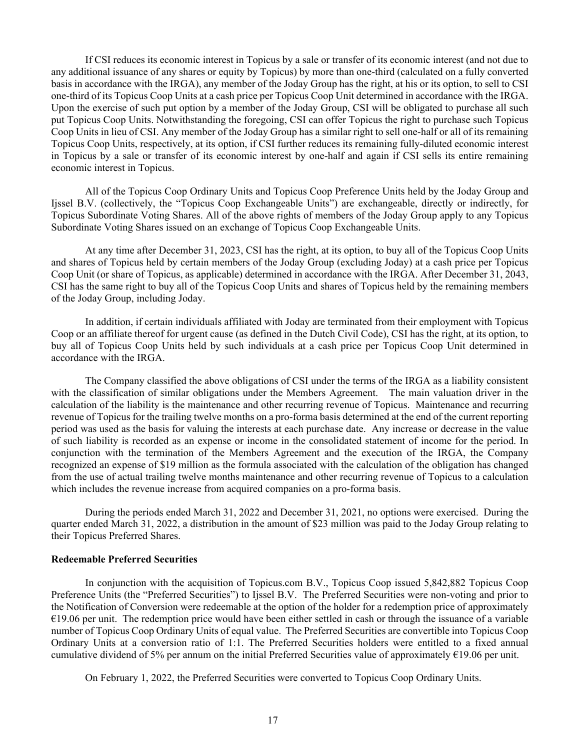If CSI reduces its economic interest in Topicus by a sale or transfer of its economic interest (and not due to any additional issuance of any shares or equity by Topicus) by more than one-third (calculated on a fully converted basis in accordance with the IRGA), any member of the Joday Group has the right, at his or its option, to sell to CSI one-third of its Topicus Coop Units at a cash price per Topicus Coop Unit determined in accordance with the IRGA. Upon the exercise of such put option by a member of the Joday Group, CSI will be obligated to purchase all such put Topicus Coop Units. Notwithstanding the foregoing, CSI can offer Topicus the right to purchase such Topicus Coop Units in lieu of CSI. Any member of the Joday Group has a similar right to sell one-half or all of its remaining Topicus Coop Units, respectively, at its option, if CSI further reduces its remaining fully-diluted economic interest in Topicus by a sale or transfer of its economic interest by one-half and again if CSI sells its entire remaining economic interest in Topicus.

All of the Topicus Coop Ordinary Units and Topicus Coop Preference Units held by the Joday Group and Ijssel B.V. (collectively, the "Topicus Coop Exchangeable Units") are exchangeable, directly or indirectly, for Topicus Subordinate Voting Shares. All of the above rights of members of the Joday Group apply to any Topicus Subordinate Voting Shares issued on an exchange of Topicus Coop Exchangeable Units.

At any time after December 31, 2023, CSI has the right, at its option, to buy all of the Topicus Coop Units and shares of Topicus held by certain members of the Joday Group (excluding Joday) at a cash price per Topicus Coop Unit (or share of Topicus, as applicable) determined in accordance with the IRGA. After December 31, 2043, CSI has the same right to buy all of the Topicus Coop Units and shares of Topicus held by the remaining members of the Joday Group, including Joday.

In addition, if certain individuals affiliated with Joday are terminated from their employment with Topicus Coop or an affiliate thereof for urgent cause (as defined in the Dutch Civil Code), CSI has the right, at its option, to buy all of Topicus Coop Units held by such individuals at a cash price per Topicus Coop Unit determined in accordance with the IRGA.

The Company classified the above obligations of CSI under the terms of the IRGA as a liability consistent with the classification of similar obligations under the Members Agreement. The main valuation driver in the calculation of the liability is the maintenance and other recurring revenue of Topicus. Maintenance and recurring revenue of Topicus for the trailing twelve months on a pro-forma basis determined at the end of the current reporting period was used as the basis for valuing the interests at each purchase date. Any increase or decrease in the value of such liability is recorded as an expense or income in the consolidated statement of income for the period. In conjunction with the termination of the Members Agreement and the execution of the IRGA, the Company recognized an expense of \$19 million as the formula associated with the calculation of the obligation has changed from the use of actual trailing twelve months maintenance and other recurring revenue of Topicus to a calculation which includes the revenue increase from acquired companies on a pro-forma basis.

During the periods ended March 31, 2022 and December 31, 2021, no options were exercised. During the quarter ended March 31, 2022, a distribution in the amount of \$23 million was paid to the Joday Group relating to their Topicus Preferred Shares.

#### **Redeemable Preferred Securities**

In conjunction with the acquisition of Topicus.com B.V., Topicus Coop issued 5,842,882 Topicus Coop Preference Units (the "Preferred Securities") to Ijssel B.V. The Preferred Securities were non-voting and prior to the Notification of Conversion were redeemable at the option of the holder for a redemption price of approximately  $€19.06$  per unit. The redemption price would have been either settled in cash or through the issuance of a variable number of Topicus Coop Ordinary Units of equal value. The Preferred Securities are convertible into Topicus Coop Ordinary Units at a conversion ratio of 1:1. The Preferred Securities holders were entitled to a fixed annual cumulative dividend of 5% per annum on the initial Preferred Securities value of approximately  $\epsilon$ 19.06 per unit.

On February 1, 2022, the Preferred Securities were converted to Topicus Coop Ordinary Units.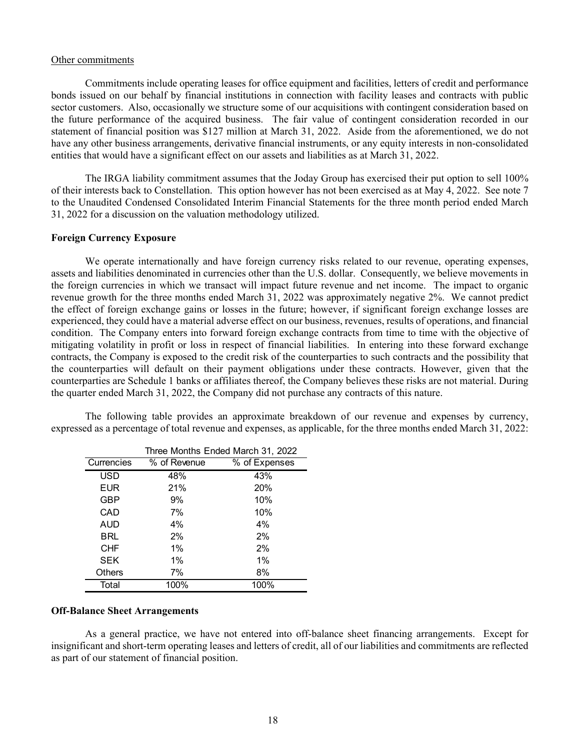#### Other commitments

Commitments include operating leases for office equipment and facilities, letters of credit and performance bonds issued on our behalf by financial institutions in connection with facility leases and contracts with public sector customers. Also, occasionally we structure some of our acquisitions with contingent consideration based on the future performance of the acquired business. The fair value of contingent consideration recorded in our statement of financial position was \$127 million at March 31, 2022. Aside from the aforementioned, we do not have any other business arrangements, derivative financial instruments, or any equity interests in non-consolidated entities that would have a significant effect on our assets and liabilities as at March 31, 2022.

The IRGA liability commitment assumes that the Joday Group has exercised their put option to sell 100% of their interests back to Constellation. This option however has not been exercised as at May 4, 2022. See note 7 to the Unaudited Condensed Consolidated Interim Financial Statements for the three month period ended March 31, 2022 for a discussion on the valuation methodology utilized.

#### **Foreign Currency Exposure**

We operate internationally and have foreign currency risks related to our revenue, operating expenses, assets and liabilities denominated in currencies other than the U.S. dollar. Consequently, we believe movements in the foreign currencies in which we transact will impact future revenue and net income. The impact to organic revenue growth for the three months ended March 31, 2022 was approximately negative 2%. We cannot predict the effect of foreign exchange gains or losses in the future; however, if significant foreign exchange losses are experienced, they could have a material adverse effect on our business, revenues, results of operations, and financial condition. The Company enters into forward foreign exchange contracts from time to time with the objective of mitigating volatility in profit or loss in respect of financial liabilities. In entering into these forward exchange contracts, the Company is exposed to the credit risk of the counterparties to such contracts and the possibility that the counterparties will default on their payment obligations under these contracts. However, given that the counterparties are Schedule 1 banks or affiliates thereof, the Company believes these risks are not material. During the quarter ended March 31, 2022, the Company did not purchase any contracts of this nature.

| Three Months Ended March 31, 2022 |              |               |  |  |  |  |  |
|-----------------------------------|--------------|---------------|--|--|--|--|--|
| Currencies                        | % of Revenue | % of Expenses |  |  |  |  |  |
| <b>USD</b>                        | 48%          | 43%           |  |  |  |  |  |
| <b>EUR</b>                        | 21%          | 20%           |  |  |  |  |  |
| GBP                               | 9%           | 10%           |  |  |  |  |  |
| CAD                               | 7%           | 10%           |  |  |  |  |  |
| AUD                               | 4%           | 4%            |  |  |  |  |  |
| BRL                               | 2%           | 2%            |  |  |  |  |  |
| <b>CHF</b>                        | $1\%$        | 2%            |  |  |  |  |  |
| SEK                               | 1%           | $1\%$         |  |  |  |  |  |
| <b>Others</b>                     | 7%           | 8%            |  |  |  |  |  |
| Total                             | 100%         | 100%          |  |  |  |  |  |

The following table provides an approximate breakdown of our revenue and expenses by currency, expressed as a percentage of total revenue and expenses, as applicable, for the three months ended March 31, 2022:

#### **Off-Balance Sheet Arrangements**

As a general practice, we have not entered into off-balance sheet financing arrangements. Except for insignificant and short-term operating leases and letters of credit, all of our liabilities and commitments are reflected as part of our statement of financial position.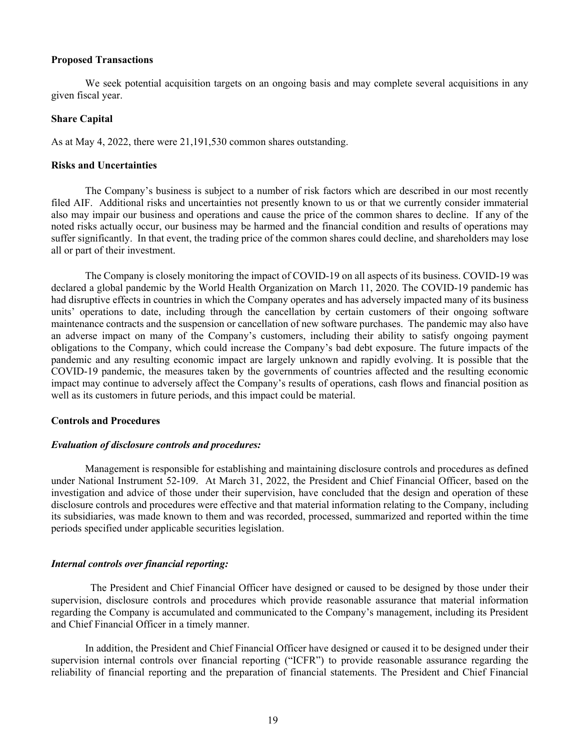#### **Proposed Transactions**

We seek potential acquisition targets on an ongoing basis and may complete several acquisitions in any given fiscal year.

#### **Share Capital**

As at May 4, 2022, there were 21,191,530 common shares outstanding.

#### **Risks and Uncertainties**

The Company's business is subject to a number of risk factors which are described in our most recently filed AIF. Additional risks and uncertainties not presently known to us or that we currently consider immaterial also may impair our business and operations and cause the price of the common shares to decline. If any of the noted risks actually occur, our business may be harmed and the financial condition and results of operations may suffer significantly. In that event, the trading price of the common shares could decline, and shareholders may lose all or part of their investment.

The Company is closely monitoring the impact of COVID-19 on all aspects of its business. COVID-19 was declared a global pandemic by the World Health Organization on March 11, 2020. The COVID-19 pandemic has had disruptive effects in countries in which the Company operates and has adversely impacted many of its business units' operations to date, including through the cancellation by certain customers of their ongoing software maintenance contracts and the suspension or cancellation of new software purchases. The pandemic may also have an adverse impact on many of the Company's customers, including their ability to satisfy ongoing payment obligations to the Company, which could increase the Company's bad debt exposure. The future impacts of the pandemic and any resulting economic impact are largely unknown and rapidly evolving. It is possible that the COVID-19 pandemic, the measures taken by the governments of countries affected and the resulting economic impact may continue to adversely affect the Company's results of operations, cash flows and financial position as well as its customers in future periods, and this impact could be material.

#### **Controls and Procedures**

#### *Evaluation of disclosure controls and procedures:*

Management is responsible for establishing and maintaining disclosure controls and procedures as defined under National Instrument 52-109. At March 31, 2022, the President and Chief Financial Officer, based on the investigation and advice of those under their supervision, have concluded that the design and operation of these disclosure controls and procedures were effective and that material information relating to the Company, including its subsidiaries, was made known to them and was recorded, processed, summarized and reported within the time periods specified under applicable securities legislation.

#### *Internal controls over financial reporting:*

The President and Chief Financial Officer have designed or caused to be designed by those under their supervision, disclosure controls and procedures which provide reasonable assurance that material information regarding the Company is accumulated and communicated to the Company's management, including its President and Chief Financial Officer in a timely manner.

In addition, the President and Chief Financial Officer have designed or caused it to be designed under their supervision internal controls over financial reporting ("ICFR") to provide reasonable assurance regarding the reliability of financial reporting and the preparation of financial statements. The President and Chief Financial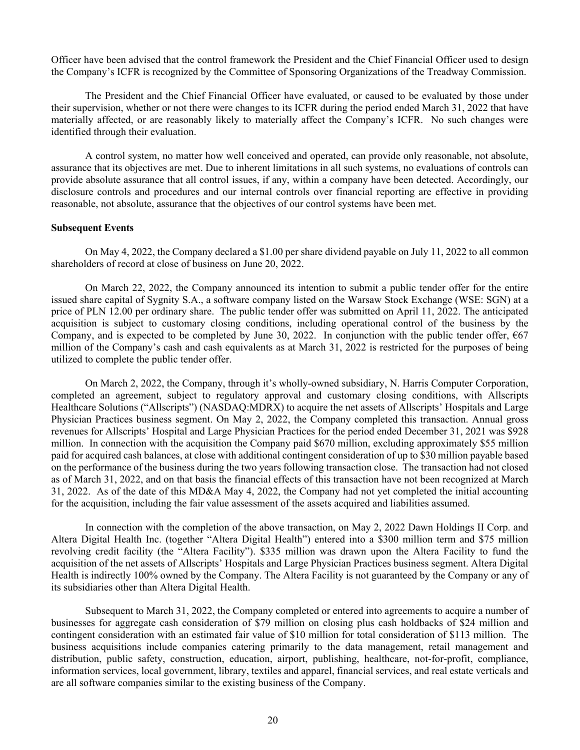Officer have been advised that the control framework the President and the Chief Financial Officer used to design the Company's ICFR is recognized by the Committee of Sponsoring Organizations of the Treadway Commission.

The President and the Chief Financial Officer have evaluated, or caused to be evaluated by those under their supervision, whether or not there were changes to its ICFR during the period ended March 31, 2022 that have materially affected, or are reasonably likely to materially affect the Company's ICFR. No such changes were identified through their evaluation.

A control system, no matter how well conceived and operated, can provide only reasonable, not absolute, assurance that its objectives are met. Due to inherent limitations in all such systems, no evaluations of controls can provide absolute assurance that all control issues, if any, within a company have been detected. Accordingly, our disclosure controls and procedures and our internal controls over financial reporting are effective in providing reasonable, not absolute, assurance that the objectives of our control systems have been met.

#### **Subsequent Events**

On May 4, 2022, the Company declared a \$1.00 per share dividend payable on July 11, 2022 to all common shareholders of record at close of business on June 20, 2022.

On March 22, 2022, the Company announced its intention to submit a public tender offer for the entire issued share capital of Sygnity S.A., a software company listed on the Warsaw Stock Exchange (WSE: SGN) at a price of PLN 12.00 per ordinary share. The public tender offer was submitted on April 11, 2022. The anticipated acquisition is subject to customary closing conditions, including operational control of the business by the Company, and is expected to be completed by June 30, 2022. In conjunction with the public tender offer,  $667$ million of the Company's cash and cash equivalents as at March 31, 2022 is restricted for the purposes of being utilized to complete the public tender offer.

On March 2, 2022, the Company, through it's wholly-owned subsidiary, N. Harris Computer Corporation, completed an agreement, subject to regulatory approval and customary closing conditions, with Allscripts Healthcare Solutions ("Allscripts") (NASDAQ:MDRX) to acquire the net assets of Allscripts' Hospitals and Large Physician Practices business segment. On May 2, 2022, the Company completed this transaction. Annual gross revenues for Allscripts' Hospital and Large Physician Practices for the period ended December 31, 2021 was \$928 million. In connection with the acquisition the Company paid \$670 million, excluding approximately \$55 million paid for acquired cash balances, at close with additional contingent consideration of up to \$30 million payable based on the performance of the business during the two years following transaction close. The transaction had not closed as of March 31, 2022, and on that basis the financial effects of this transaction have not been recognized at March 31, 2022. As of the date of this MD&A May 4, 2022, the Company had not yet completed the initial accounting for the acquisition, including the fair value assessment of the assets acquired and liabilities assumed.

In connection with the completion of the above transaction, on May 2, 2022 Dawn Holdings II Corp. and Altera Digital Health Inc. (together "Altera Digital Health") entered into a \$300 million term and \$75 million revolving credit facility (the "Altera Facility"). \$335 million was drawn upon the Altera Facility to fund the acquisition of the net assets of Allscripts' Hospitals and Large Physician Practices business segment. Altera Digital Health is indirectly 100% owned by the Company. The Altera Facility is not guaranteed by the Company or any of its subsidiaries other than Altera Digital Health.

Subsequent to March 31, 2022, the Company completed or entered into agreements to acquire a number of businesses for aggregate cash consideration of \$79 million on closing plus cash holdbacks of \$24 million and contingent consideration with an estimated fair value of \$10 million for total consideration of \$113 million. The business acquisitions include companies catering primarily to the data management, retail management and distribution, public safety, construction, education, airport, publishing, healthcare, not-for-profit, compliance, information services, local government, library, textiles and apparel, financial services, and real estate verticals and are all software companies similar to the existing business of the Company.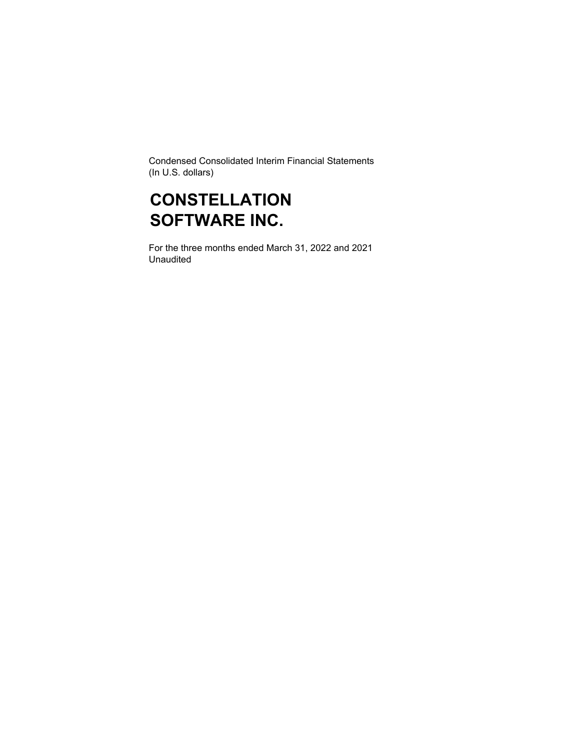Condensed Consolidated Interim Financial Statements (In U.S. dollars)

## **CONSTELLATION SOFTWARE INC.**

For the three months ended March 31, 2022 and 2021 Unaudited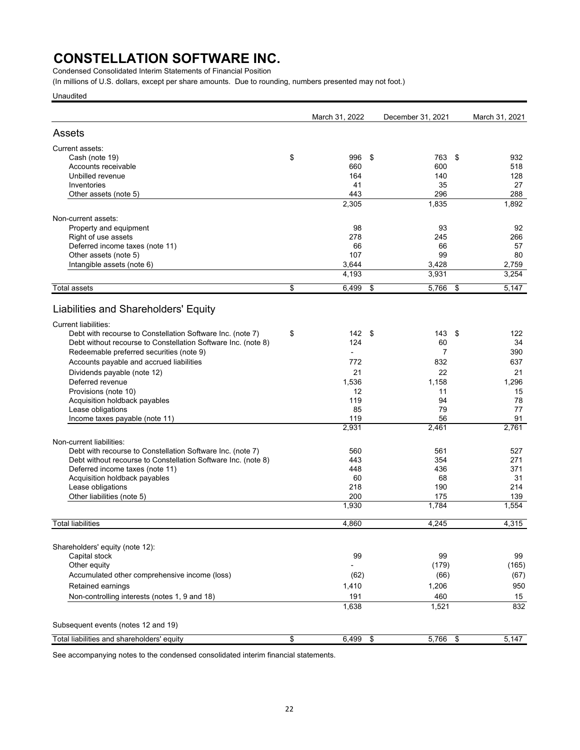Condensed Consolidated Interim Statements of Financial Position

(In millions of U.S. dollars, except per share amounts. Due to rounding, numbers presented may not foot.)

Unaudited

|                                                               | March 31, 2022   | December 31, 2021 | March 31, 2021 |
|---------------------------------------------------------------|------------------|-------------------|----------------|
| Assets                                                        |                  |                   |                |
| Current assets:                                               |                  |                   |                |
| Cash (note 19)                                                | \$<br>996        | \$<br>763         | \$<br>932      |
| Accounts receivable                                           | 660              | 600               | 518            |
| Unbilled revenue                                              | 164              | 140               | 128            |
| Inventories                                                   | 41               | 35                | 27             |
| Other assets (note 5)                                         | 443              | 296               | 288            |
|                                                               | 2,305            | 1,835             | 1,892          |
| Non-current assets:                                           |                  |                   |                |
| Property and equipment                                        | 98               | 93                | 92             |
| Right of use assets                                           | 278              | 245               | 266            |
| Deferred income taxes (note 11)                               | 66               | 66                | 57             |
| Other assets (note 5)                                         | 107              | 99                | 80             |
| Intangible assets (note 6)                                    | 3,644            | 3,428             | 2,759          |
|                                                               | 4,193            | 3,931             | 3,254          |
| <b>Total assets</b>                                           | \$<br>6,499      | \$<br>5,766       | \$<br>5,147    |
| Liabilities and Shareholders' Equity                          |                  |                   |                |
| <b>Current liabilities:</b>                                   |                  |                   |                |
| Debt with recourse to Constellation Software Inc. (note 7)    | \$<br>142        | \$<br>143         | \$<br>122      |
| Debt without recourse to Constellation Software Inc. (note 8) | 124              | 60                | 34             |
| Redeemable preferred securities (note 9)                      | $\overline{a}$   | 7                 | 390            |
| Accounts payable and accrued liabilities                      | 772              | 832               | 637            |
| Dividends payable (note 12)                                   | 21               | 22                | 21             |
| Deferred revenue                                              | 1,536            | 1,158             | 1,296          |
| Provisions (note 10)                                          | 12               | 11                | 15             |
| Acquisition holdback payables                                 | 119              | 94                | 78             |
| Lease obligations                                             | 85               | 79                | 77             |
| Income taxes payable (note 11)                                | 119              | 56                | 91             |
|                                                               | 2,931            | 2,461             | 2,761          |
| Non-current liabilities:                                      |                  |                   |                |
| Debt with recourse to Constellation Software Inc. (note 7)    | 560              | 561               | 527            |
| Debt without recourse to Constellation Software Inc. (note 8) | 443              | 354               | 271            |
| Deferred income taxes (note 11)                               | 448              | 436               | 371            |
| Acquisition holdback payables                                 | 60               | 68                | 31             |
| Lease obligations                                             | 218              | 190               | 214            |
| Other liabilities (note 5)                                    | 200              | 175               | 139            |
|                                                               | 1,930            | 1,784             | 1,554          |
| <b>Total liabilities</b>                                      | 4.860            | 4,245             | 4,315          |
| Shareholders' equity (note 12):                               |                  |                   |                |
| Capital stock                                                 | 99               | 99                | 99             |
| Other equity                                                  |                  | (179)             | (165)          |
| Accumulated other comprehensive income (loss)                 | (62)             | (66)              | (67)           |
| Retained earnings                                             | 1,410            | 1,206             | 950            |
|                                                               |                  |                   |                |
| Non-controlling interests (notes 1, 9 and 18)                 | 191<br>1,638     | 460<br>1,521      | 15<br>832      |
|                                                               |                  |                   |                |
| Subsequent events (notes 12 and 19)                           |                  |                   |                |
| Total liabilities and shareholders' equity                    | \$<br>$6,499$ \$ | $5,766$ \$        | 5,147          |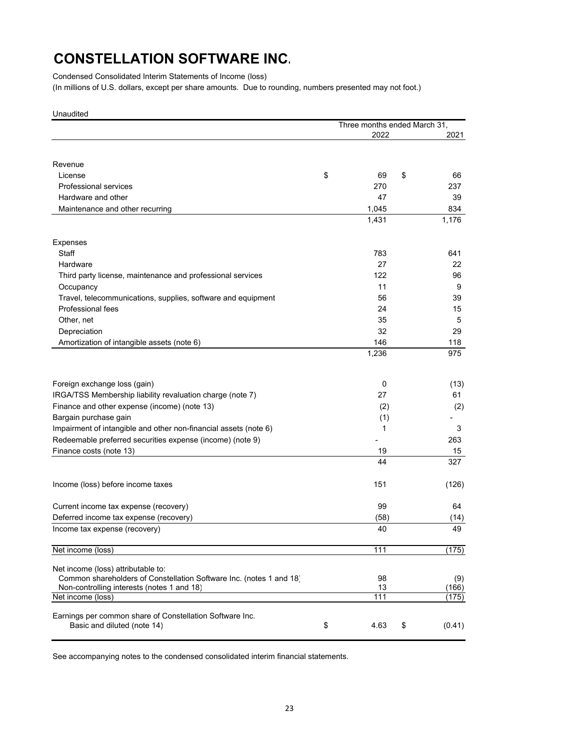Condensed Consolidated Interim Statements of Income (loss)

(In millions of U.S. dollars, except per share amounts. Due to rounding, numbers presented may not foot.)

| Unaudited                                                                                                 |                              |            |  |  |
|-----------------------------------------------------------------------------------------------------------|------------------------------|------------|--|--|
|                                                                                                           | Three months ended March 31, |            |  |  |
|                                                                                                           | 2022                         | 2021       |  |  |
|                                                                                                           |                              |            |  |  |
| Revenue                                                                                                   |                              |            |  |  |
| License                                                                                                   | \$<br>69<br>\$               | 66         |  |  |
| <b>Professional services</b>                                                                              | 270                          | 237        |  |  |
| Hardware and other                                                                                        | 47                           | 39         |  |  |
| Maintenance and other recurring                                                                           | 1,045                        | 834        |  |  |
|                                                                                                           | 1,431                        | 1,176      |  |  |
|                                                                                                           |                              |            |  |  |
| <b>Expenses</b>                                                                                           |                              |            |  |  |
| Staff                                                                                                     | 783                          | 641        |  |  |
| Hardware                                                                                                  | 27                           | 22         |  |  |
| Third party license, maintenance and professional services                                                | 122                          | 96         |  |  |
| Occupancy                                                                                                 | 11                           | 9          |  |  |
| Travel, telecommunications, supplies, software and equipment                                              | 56                           | 39         |  |  |
| Professional fees                                                                                         | 24                           | 15         |  |  |
| Other, net                                                                                                | 35                           | 5          |  |  |
| Depreciation                                                                                              | 32                           | 29         |  |  |
|                                                                                                           | 146                          |            |  |  |
| Amortization of intangible assets (note 6)                                                                | 1,236                        | 118<br>975 |  |  |
|                                                                                                           |                              |            |  |  |
|                                                                                                           |                              |            |  |  |
| Foreign exchange loss (gain)                                                                              | 0                            | (13)       |  |  |
| IRGA/TSS Membership liability revaluation charge (note 7)                                                 | 27                           | 61         |  |  |
| Finance and other expense (income) (note 13)                                                              | (2)                          | (2)        |  |  |
| Bargain purchase gain                                                                                     | (1)                          |            |  |  |
| Impairment of intangible and other non-financial assets (note 6)                                          | 1                            | 3          |  |  |
| Redeemable preferred securities expense (income) (note 9)                                                 |                              | 263        |  |  |
| Finance costs (note 13)                                                                                   | 19                           | 15         |  |  |
|                                                                                                           | 44                           | 327        |  |  |
|                                                                                                           |                              |            |  |  |
| Income (loss) before income taxes                                                                         | 151                          | (126)      |  |  |
|                                                                                                           |                              |            |  |  |
| Current income tax expense (recovery)                                                                     | 99                           | 64         |  |  |
| Deferred income tax expense (recovery)                                                                    | (58)                         | (14)       |  |  |
| Income tax expense (recovery)                                                                             | 40                           | 49         |  |  |
|                                                                                                           |                              |            |  |  |
| Net income (loss)                                                                                         | 111                          | (175)      |  |  |
|                                                                                                           |                              |            |  |  |
| Net income (loss) attributable to:<br>Common shareholders of Constellation Software Inc. (notes 1 and 18) | 98                           | (9)        |  |  |
| Non-controlling interests (notes 1 and 18)                                                                | 13                           | (166)      |  |  |
| Net income (loss)                                                                                         | 111                          | (175)      |  |  |
|                                                                                                           |                              |            |  |  |
| Earnings per common share of Constellation Software Inc.                                                  |                              |            |  |  |
| Basic and diluted (note 14)                                                                               | \$<br>4.63<br>\$             | (0.41)     |  |  |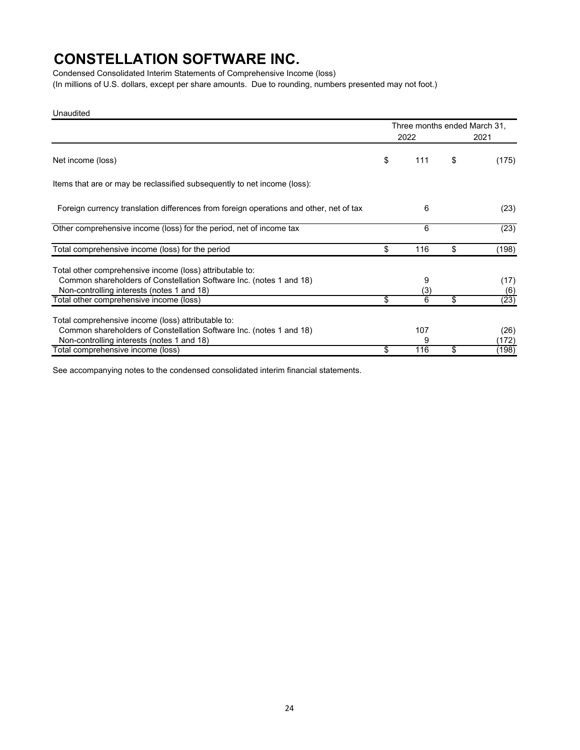Condensed Consolidated Interim Statements of Comprehensive Income (loss) (In millions of U.S. dollars, except per share amounts. Due to rounding, numbers presented may not foot.)

Unaudited

|                                                                                                                                                                               | Three months ended March 31, |               |
|-------------------------------------------------------------------------------------------------------------------------------------------------------------------------------|------------------------------|---------------|
|                                                                                                                                                                               | 2022                         | 2021          |
| Net income (loss)                                                                                                                                                             | \$<br>111                    | \$<br>(175)   |
| Items that are or may be reclassified subsequently to net income (loss):                                                                                                      |                              |               |
| Foreign currency translation differences from foreign operations and other, net of tax                                                                                        | 6                            | (23)          |
| Other comprehensive income (loss) for the period, net of income tax                                                                                                           | 6                            | (23)          |
| Total comprehensive income (loss) for the period                                                                                                                              | \$<br>116                    | \$<br>(198)   |
| Total other comprehensive income (loss) attributable to:<br>Common shareholders of Constellation Software Inc. (notes 1 and 18)<br>Non-controlling interests (notes 1 and 18) | 9<br>(3)                     | (17)<br>(6)   |
| Total other comprehensive income (loss)                                                                                                                                       | \$<br>6                      | \$<br>(23)    |
| Total comprehensive income (loss) attributable to:<br>Common shareholders of Constellation Software Inc. (notes 1 and 18)<br>Non-controlling interests (notes 1 and 18)       | 107<br>9                     | (26)<br>(172) |
| Total comprehensive income (loss)                                                                                                                                             | \$<br>116                    | \$<br>(198)   |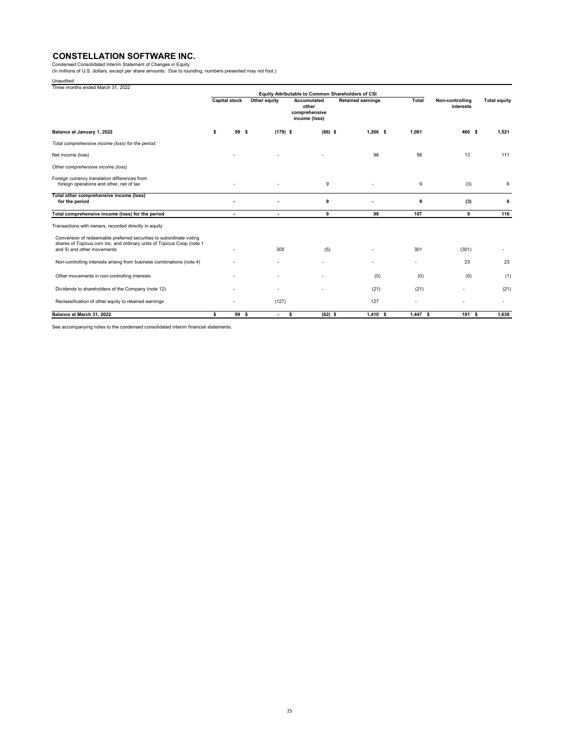Condensed Consolidated Interim Statement of Changes in Equity<br>(In millions of U.S. dollars, except per share amounts. Due to rounding, numbers presented may not foot.)

Unaudited

| Three months ended March 31, 2022                                                                                                                                          |                      |                          |                          |                                                                                                                                                |            |         |                              |                     |
|----------------------------------------------------------------------------------------------------------------------------------------------------------------------------|----------------------|--------------------------|--------------------------|------------------------------------------------------------------------------------------------------------------------------------------------|------------|---------|------------------------------|---------------------|
|                                                                                                                                                                            | <b>Capital stock</b> |                          | Other equity             | Equity Attributable to Common Shareholders of CSI<br><b>Retained earnings</b><br><b>Accumulated</b><br>other<br>comprehensive<br>income (loss) |            | Total   | Non-controlling<br>interests | <b>Total equity</b> |
| Balance at January 1, 2022                                                                                                                                                 | \$.                  | 99                       | $(179)$ \$<br>- S        | $(66)$ \$                                                                                                                                      | $1.206$ \$ | 1.061   | 460 \$                       | 1.521               |
| Total comprehensive income (loss) for the period:                                                                                                                          |                      |                          |                          |                                                                                                                                                |            |         |                              |                     |
| Net income (loss)                                                                                                                                                          |                      |                          |                          |                                                                                                                                                | 98         | 98      | 13                           | 111                 |
| Other comprehensive income (loss)                                                                                                                                          |                      |                          |                          |                                                                                                                                                |            |         |                              |                     |
| Foreign currency translation differences from<br>foreign operations and other, net of tax                                                                                  |                      |                          |                          | 9                                                                                                                                              |            | 9       | (3)                          | 6                   |
| Total other comprehensive income (loss)<br>for the period                                                                                                                  |                      |                          |                          | 9                                                                                                                                              |            | 9       | (3)                          | -6                  |
| Total comprehensive income (loss) for the period                                                                                                                           |                      | $\overline{\phantom{a}}$ | $\overline{\phantom{a}}$ | 9                                                                                                                                              | 98         | 107     | 9                            | 116                 |
| Transactions with owners, recorded directly in equity                                                                                                                      |                      |                          |                          |                                                                                                                                                |            |         |                              |                     |
| Conversion of redeemable preferred securities to subordinate voting<br>shares of Topicus.com Inc. and ordinary units of Topicus Coop (note 1<br>and 9) and other movements |                      |                          | 305                      | (5)                                                                                                                                            |            | 301     | (301)                        |                     |
| Non-controlling interests arising from business combinations (note 4)                                                                                                      |                      |                          |                          |                                                                                                                                                |            |         | 23                           | 23                  |
| Other movements in non-controlling interests                                                                                                                               |                      |                          |                          |                                                                                                                                                | (0)        | (0)     | (0)                          | (1)                 |
| Dividends to shareholders of the Company (note 12)                                                                                                                         |                      |                          |                          |                                                                                                                                                | (21)       | (21)    |                              | (21)                |
| Reclassification of other equity to retained earnings                                                                                                                      |                      |                          | (127)                    |                                                                                                                                                | 127        |         |                              |                     |
| Balance at March 31, 2022                                                                                                                                                  | \$                   | 99 S                     | $\overline{\phantom{a}}$ | s.<br>$(62)$ \$                                                                                                                                | $1,410$ \$ | 1.447 S | 191 \$                       | 1.638               |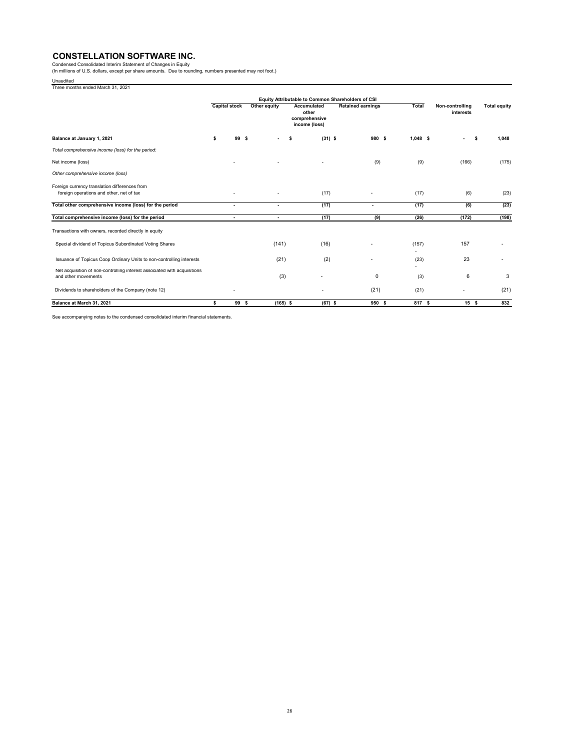Condensed Consolidated Interim Statement of Changes in Equity<br>(In millions of U.S. dollars, except per share amounts. Due to rounding, numbers presented may not foot.)

Unaudited Three months ended March 31, 2021

|                                                                                                 | Equity Attributable to Common Shareholders of CSI |                                                                                                |                          |                 |                          |              |                              |                     |  |
|-------------------------------------------------------------------------------------------------|---------------------------------------------------|------------------------------------------------------------------------------------------------|--------------------------|-----------------|--------------------------|--------------|------------------------------|---------------------|--|
|                                                                                                 |                                                   | <b>Capital stock</b><br>Other equity<br>Accumulated<br>other<br>comprehensive<br>income (loss) |                          |                 | <b>Retained earnings</b> | <b>Total</b> | Non-controlling<br>interests | <b>Total equity</b> |  |
| Balance at January 1, 2021                                                                      | \$                                                | 99<br>- S                                                                                      | $\overline{\phantom{a}}$ | $(31)$ \$<br>\$ | 980 S                    | 1.048 S      | $\overline{\phantom{a}}$     | 1.048<br>\$         |  |
| Total comprehensive income (loss) for the period:                                               |                                                   |                                                                                                |                          |                 |                          |              |                              |                     |  |
| Net income (loss)                                                                               |                                                   |                                                                                                |                          |                 | (9)                      | (9)          | (166)                        | (175)               |  |
| Other comprehensive income (loss)                                                               |                                                   |                                                                                                |                          |                 |                          |              |                              |                     |  |
| Foreign currency translation differences from<br>foreign operations and other, net of tax       |                                                   |                                                                                                |                          | (17)            |                          | (17)         | (6)                          | (23)                |  |
| Total other comprehensive income (loss) for the period                                          |                                                   | $\overline{\phantom{a}}$                                                                       | $\overline{\phantom{0}}$ | (17)            | $\blacksquare$           | (17)         | (6)                          | (23)                |  |
| Total comprehensive income (loss) for the period                                                |                                                   | $\overline{\phantom{a}}$                                                                       | $\overline{\phantom{a}}$ | (17)            | (9)                      | (26)         | (172)                        | (198)               |  |
| Transactions with owners, recorded directly in equity                                           |                                                   |                                                                                                |                          |                 |                          |              |                              |                     |  |
| Special dividend of Topicus Subordinated Voting Shares                                          |                                                   |                                                                                                | (141)                    | (16)            |                          | (157)        | 157                          |                     |  |
| Issuance of Topicus Coop Ordinary Units to non-controlling interests                            |                                                   |                                                                                                | (21)                     | (2)             |                          | (23)         | 23                           |                     |  |
| Net acquisition of non-controlling interest associated with acquisitions<br>and other movements |                                                   |                                                                                                | (3)                      |                 | 0                        | (3)          | 6                            | 3                   |  |
| Dividends to shareholders of the Company (note 12)                                              |                                                   | ٠                                                                                              |                          |                 | (21)                     | (21)         |                              | (21)                |  |
| Balance at March 31, 2021                                                                       | \$.                                               | 99 S                                                                                           | $(165)$ \$               | $(67)$ \$       | 950 S                    | 817 S        | 15S                          | 832                 |  |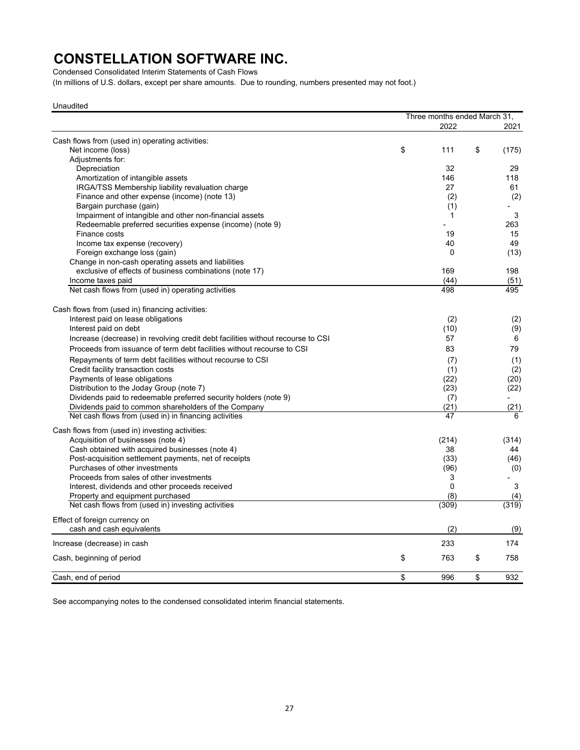Condensed Consolidated Interim Statements of Cash Flows

(In millions of U.S. dollars, except per share amounts. Due to rounding, numbers presented may not foot.)

Unaudited

|                                                                                 | Three months ended March 31, |             |
|---------------------------------------------------------------------------------|------------------------------|-------------|
|                                                                                 | 2022                         | 2021        |
| Cash flows from (used in) operating activities:                                 |                              |             |
| Net income (loss)                                                               | \$<br>111                    | \$<br>(175) |
| Adjustments for:                                                                |                              |             |
| Depreciation                                                                    | 32                           | 29          |
| Amortization of intangible assets                                               | 146                          | 118         |
| IRGA/TSS Membership liability revaluation charge                                | 27                           | 61          |
| Finance and other expense (income) (note 13)                                    | (2)                          | (2)         |
| Bargain purchase (gain)                                                         | (1)                          |             |
| Impairment of intangible and other non-financial assets                         | 1                            | 3           |
| Redeemable preferred securities expense (income) (note 9)                       |                              | 263         |
| Finance costs                                                                   | 19                           | 15          |
| Income tax expense (recovery)                                                   | 40                           | 49          |
| Foreign exchange loss (gain)                                                    | 0                            | (13)        |
| Change in non-cash operating assets and liabilities                             |                              |             |
| exclusive of effects of business combinations (note 17)                         | 169                          | 198         |
| Income taxes paid                                                               | (44)                         | (51)        |
| Net cash flows from (used in) operating activities                              | 498                          | 495         |
|                                                                                 |                              |             |
| Cash flows from (used in) financing activities:                                 |                              |             |
| Interest paid on lease obligations                                              | (2)                          | (2)         |
| Interest paid on debt                                                           | (10)                         | (9)         |
|                                                                                 |                              |             |
| Increase (decrease) in revolving credit debt facilities without recourse to CSI | 57                           | 6           |
| Proceeds from issuance of term debt facilities without recourse to CSI          | 83                           | 79          |
| Repayments of term debt facilities without recourse to CSI                      | (7)                          | (1)         |
| Credit facility transaction costs                                               | (1)                          | (2)         |
| Payments of lease obligations                                                   | (22)                         | (20)        |
| Distribution to the Joday Group (note 7)                                        | (23)                         | (22)        |
| Dividends paid to redeemable preferred security holders (note 9)                | (7)                          |             |
| Dividends paid to common shareholders of the Company                            | (21)                         | (21)        |
| Net cash flows from (used in) in financing activities                           | 47                           | 6           |
| Cash flows from (used in) investing activities:                                 |                              |             |
| Acquisition of businesses (note 4)                                              | (214)                        | (314)       |
| Cash obtained with acquired businesses (note 4)                                 | 38                           | 44          |
| Post-acquisition settlement payments, net of receipts                           | (33)                         | (46)        |
| Purchases of other investments                                                  | (96)                         | (0)         |
| Proceeds from sales of other investments                                        | 3                            |             |
| Interest, dividends and other proceeds received                                 | 0                            | 3           |
| Property and equipment purchased                                                | (8)                          | (4)         |
| Net cash flows from (used in) investing activities                              | (309)                        | (319)       |
|                                                                                 |                              |             |
| Effect of foreign currency on                                                   |                              |             |
| cash and cash equivalents                                                       | (2)                          | (9)         |
| Increase (decrease) in cash                                                     | 233                          | 174         |
| Cash, beginning of period                                                       | \$<br>763                    | \$<br>758   |
| Cash, end of period                                                             | \$<br>996                    | \$<br>932   |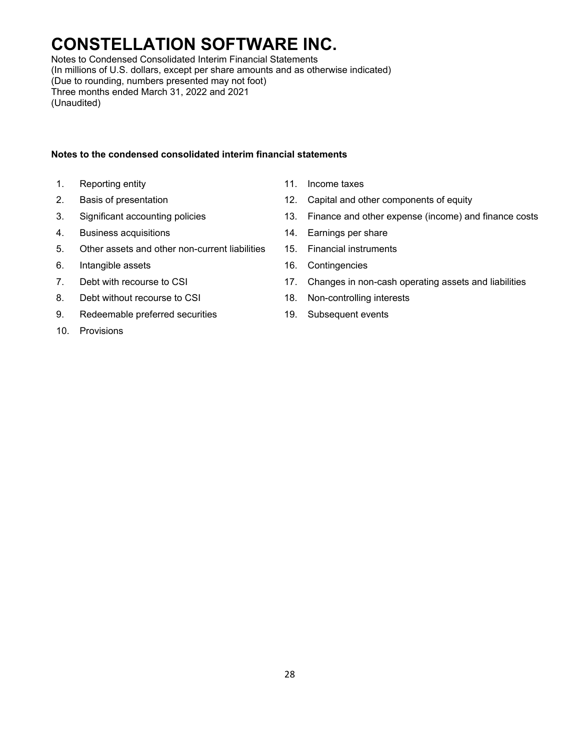Notes to Condensed Consolidated Interim Financial Statements (In millions of U.S. dollars, except per share amounts and as otherwise indicated) (Due to rounding, numbers presented may not foot) Three months ended March 31, 2022 and 2021 (Unaudited)

### **Notes to the condensed consolidated interim financial statements**

- 1. Reporting entity **11.** Income taxes
- 
- 
- 4. Business acquisitions 14. Earnings per share
- 5. Other assets and other non-current liabilities 15. Financial instruments
- 6. Intangible assets 16. Contingencies
- 
- 8. Debt without recourse to CSI 18. Non-controlling interests
- 9. Redeemable preferred securities 19. Subsequent events
- 10. Provisions
- 
- 2. Basis of presentation 12. Capital and other components of equity
- 3. Significant accounting policies 13. Finance and other expense (income) and finance costs
	-
	-
	-
- 7. Debt with recourse to CSI 17. Changes in non-cash operating assets and liabilities
	-
	-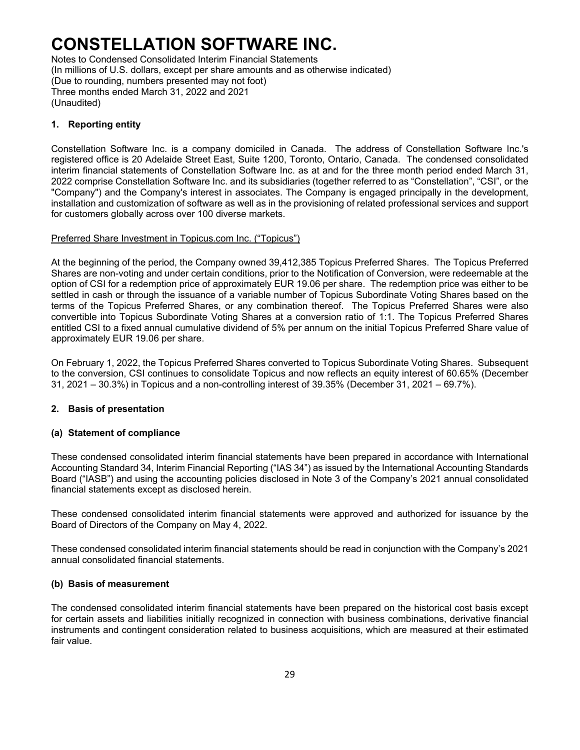Notes to Condensed Consolidated Interim Financial Statements (In millions of U.S. dollars, except per share amounts and as otherwise indicated) (Due to rounding, numbers presented may not foot) Three months ended March 31, 2022 and 2021 (Unaudited)

### **1. Reporting entity**

Constellation Software Inc. is a company domiciled in Canada. The address of Constellation Software Inc.'s registered office is 20 Adelaide Street East, Suite 1200, Toronto, Ontario, Canada. The condensed consolidated interim financial statements of Constellation Software Inc. as at and for the three month period ended March 31, 2022 comprise Constellation Software Inc. and its subsidiaries (together referred to as "Constellation", "CSI", or the "Company") and the Company's interest in associates. The Company is engaged principally in the development, installation and customization of software as well as in the provisioning of related professional services and support for customers globally across over 100 diverse markets.

#### Preferred Share Investment in Topicus.com Inc. ("Topicus")

At the beginning of the period, the Company owned 39,412,385 Topicus Preferred Shares. The Topicus Preferred Shares are non-voting and under certain conditions, prior to the Notification of Conversion, were redeemable at the option of CSI for a redemption price of approximately EUR 19.06 per share. The redemption price was either to be settled in cash or through the issuance of a variable number of Topicus Subordinate Voting Shares based on the terms of the Topicus Preferred Shares, or any combination thereof. The Topicus Preferred Shares were also convertible into Topicus Subordinate Voting Shares at a conversion ratio of 1:1. The Topicus Preferred Shares entitled CSI to a fixed annual cumulative dividend of 5% per annum on the initial Topicus Preferred Share value of approximately EUR 19.06 per share.

On February 1, 2022, the Topicus Preferred Shares converted to Topicus Subordinate Voting Shares. Subsequent to the conversion, CSI continues to consolidate Topicus and now reflects an equity interest of 60.65% (December 31, 2021 – 30.3%) in Topicus and a non-controlling interest of 39.35% (December 31, 2021 – 69.7%).

### **2. Basis of presentation**

### **(a) Statement of compliance**

These condensed consolidated interim financial statements have been prepared in accordance with International Accounting Standard 34, Interim Financial Reporting ("IAS 34") as issued by the International Accounting Standards Board ("IASB") and using the accounting policies disclosed in Note 3 of the Company's 2021 annual consolidated financial statements except as disclosed herein.

These condensed consolidated interim financial statements were approved and authorized for issuance by the Board of Directors of the Company on May 4, 2022.

These condensed consolidated interim financial statements should be read in conjunction with the Company's 2021 annual consolidated financial statements.

#### **(b) Basis of measurement**

The condensed consolidated interim financial statements have been prepared on the historical cost basis except for certain assets and liabilities initially recognized in connection with business combinations, derivative financial instruments and contingent consideration related to business acquisitions, which are measured at their estimated fair value.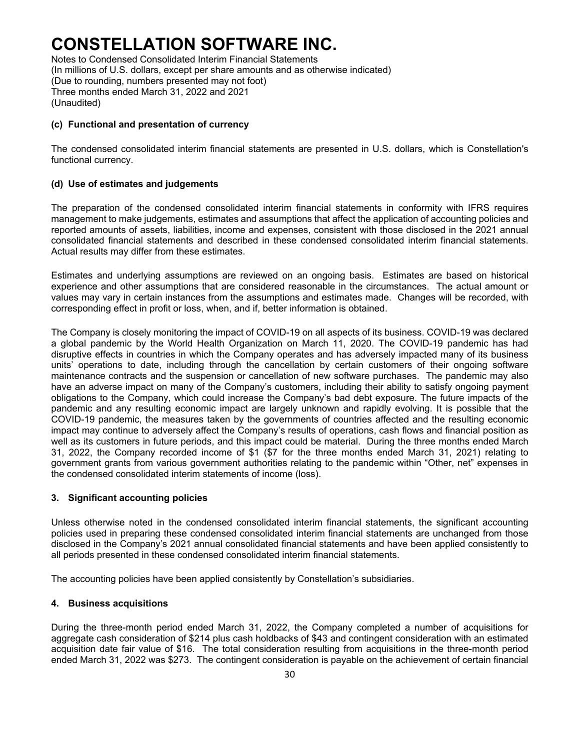Notes to Condensed Consolidated Interim Financial Statements (In millions of U.S. dollars, except per share amounts and as otherwise indicated) (Due to rounding, numbers presented may not foot) Three months ended March 31, 2022 and 2021 (Unaudited)

#### **(c) Functional and presentation of currency**

The condensed consolidated interim financial statements are presented in U.S. dollars, which is Constellation's functional currency.

#### **(d) Use of estimates and judgements**

The preparation of the condensed consolidated interim financial statements in conformity with IFRS requires management to make judgements, estimates and assumptions that affect the application of accounting policies and reported amounts of assets, liabilities, income and expenses, consistent with those disclosed in the 2021 annual consolidated financial statements and described in these condensed consolidated interim financial statements. Actual results may differ from these estimates.

Estimates and underlying assumptions are reviewed on an ongoing basis. Estimates are based on historical experience and other assumptions that are considered reasonable in the circumstances. The actual amount or values may vary in certain instances from the assumptions and estimates made. Changes will be recorded, with corresponding effect in profit or loss, when, and if, better information is obtained.

The Company is closely monitoring the impact of COVID-19 on all aspects of its business. COVID-19 was declared a global pandemic by the World Health Organization on March 11, 2020. The COVID-19 pandemic has had disruptive effects in countries in which the Company operates and has adversely impacted many of its business units' operations to date, including through the cancellation by certain customers of their ongoing software maintenance contracts and the suspension or cancellation of new software purchases. The pandemic may also have an adverse impact on many of the Company's customers, including their ability to satisfy ongoing payment obligations to the Company, which could increase the Company's bad debt exposure. The future impacts of the pandemic and any resulting economic impact are largely unknown and rapidly evolving. It is possible that the COVID-19 pandemic, the measures taken by the governments of countries affected and the resulting economic impact may continue to adversely affect the Company's results of operations, cash flows and financial position as well as its customers in future periods, and this impact could be material. During the three months ended March 31, 2022, the Company recorded income of \$1 (\$7 for the three months ended March 31, 2021) relating to government grants from various government authorities relating to the pandemic within "Other, net" expenses in the condensed consolidated interim statements of income (loss).

### **3. Significant accounting policies**

Unless otherwise noted in the condensed consolidated interim financial statements, the significant accounting policies used in preparing these condensed consolidated interim financial statements are unchanged from those disclosed in the Company's 2021 annual consolidated financial statements and have been applied consistently to all periods presented in these condensed consolidated interim financial statements.

The accounting policies have been applied consistently by Constellation's subsidiaries.

#### **4. Business acquisitions**

During the three-month period ended March 31, 2022, the Company completed a number of acquisitions for aggregate cash consideration of \$214 plus cash holdbacks of \$43 and contingent consideration with an estimated acquisition date fair value of \$16. The total consideration resulting from acquisitions in the three-month period ended March 31, 2022 was \$273. The contingent consideration is payable on the achievement of certain financial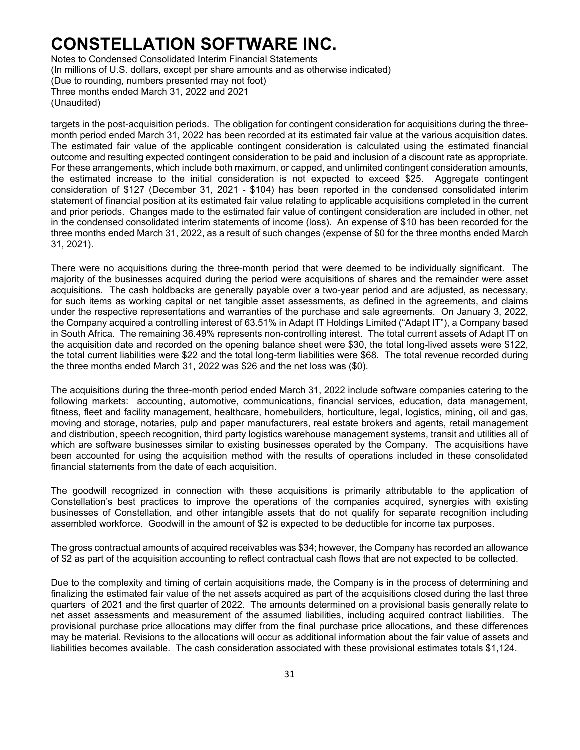Notes to Condensed Consolidated Interim Financial Statements (In millions of U.S. dollars, except per share amounts and as otherwise indicated) (Due to rounding, numbers presented may not foot) Three months ended March 31, 2022 and 2021 (Unaudited)

targets in the post-acquisition periods. The obligation for contingent consideration for acquisitions during the threemonth period ended March 31, 2022 has been recorded at its estimated fair value at the various acquisition dates. The estimated fair value of the applicable contingent consideration is calculated using the estimated financial outcome and resulting expected contingent consideration to be paid and inclusion of a discount rate as appropriate. For these arrangements, which include both maximum, or capped, and unlimited contingent consideration amounts, the estimated increase to the initial consideration is not expected to exceed \$25. Aggregate contingent consideration of \$127 (December 31, 2021 - \$104) has been reported in the condensed consolidated interim statement of financial position at its estimated fair value relating to applicable acquisitions completed in the current and prior periods. Changes made to the estimated fair value of contingent consideration are included in other, net in the condensed consolidated interim statements of income (loss). An expense of \$10 has been recorded for the three months ended March 31, 2022, as a result of such changes (expense of \$0 for the three months ended March 31, 2021).

There were no acquisitions during the three-month period that were deemed to be individually significant. The majority of the businesses acquired during the period were acquisitions of shares and the remainder were asset acquisitions. The cash holdbacks are generally payable over a two-year period and are adjusted, as necessary, for such items as working capital or net tangible asset assessments, as defined in the agreements, and claims under the respective representations and warranties of the purchase and sale agreements. On January 3, 2022, the Company acquired a controlling interest of 63.51% in Adapt IT Holdings Limited ("Adapt IT"), a Company based in South Africa. The remaining 36.49% represents non-controlling interest. The total current assets of Adapt IT on the acquisition date and recorded on the opening balance sheet were \$30, the total long-lived assets were \$122, the total current liabilities were \$22 and the total long-term liabilities were \$68. The total revenue recorded during the three months ended March 31, 2022 was \$26 and the net loss was (\$0).

The acquisitions during the three-month period ended March 31, 2022 include software companies catering to the following markets: accounting, automotive, communications, financial services, education, data management, fitness, fleet and facility management, healthcare, homebuilders, horticulture, legal, logistics, mining, oil and gas, moving and storage, notaries, pulp and paper manufacturers, real estate brokers and agents, retail management and distribution, speech recognition, third party logistics warehouse management systems, transit and utilities all of which are software businesses similar to existing businesses operated by the Company. The acquisitions have been accounted for using the acquisition method with the results of operations included in these consolidated financial statements from the date of each acquisition.

The goodwill recognized in connection with these acquisitions is primarily attributable to the application of Constellation's best practices to improve the operations of the companies acquired, synergies with existing businesses of Constellation, and other intangible assets that do not qualify for separate recognition including assembled workforce. Goodwill in the amount of \$2 is expected to be deductible for income tax purposes.

The gross contractual amounts of acquired receivables was \$34; however, the Company has recorded an allowance of \$2 as part of the acquisition accounting to reflect contractual cash flows that are not expected to be collected.

Due to the complexity and timing of certain acquisitions made, the Company is in the process of determining and finalizing the estimated fair value of the net assets acquired as part of the acquisitions closed during the last three quarters of 2021 and the first quarter of 2022. The amounts determined on a provisional basis generally relate to net asset assessments and measurement of the assumed liabilities, including acquired contract liabilities. The provisional purchase price allocations may differ from the final purchase price allocations, and these differences may be material. Revisions to the allocations will occur as additional information about the fair value of assets and liabilities becomes available. The cash consideration associated with these provisional estimates totals \$1,124.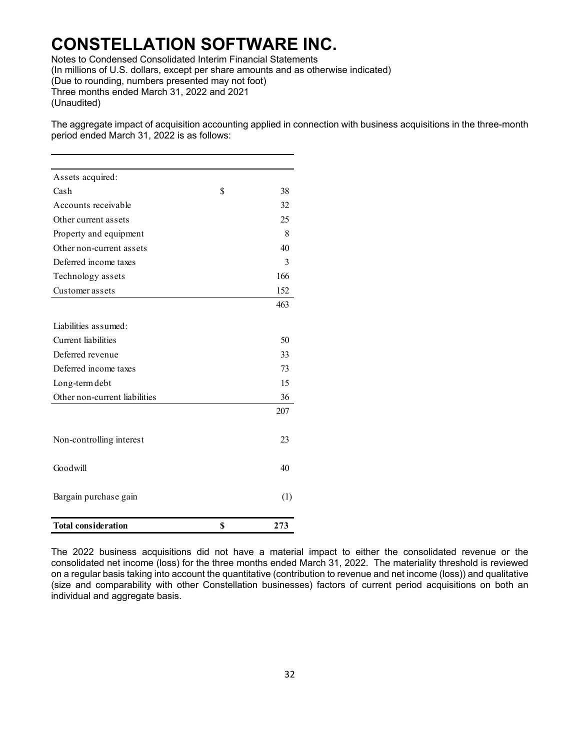Notes to Condensed Consolidated Interim Financial Statements

(In millions of U.S. dollars, except per share amounts and as otherwise indicated)

(Due to rounding, numbers presented may not foot)

Three months ended March 31, 2022 and 2021

(Unaudited)

The aggregate impact of acquisition accounting applied in connection with business acquisitions in the three-month period ended March 31, 2022 is as follows:

| Assets acquired:              |           |
|-------------------------------|-----------|
| Cash                          | \$<br>38  |
| Accounts receivable           | 32        |
| Other current assets          | 25        |
| Property and equipment        | 8         |
| Other non-current assets      | 40        |
| Deferred income taxes         | 3         |
| Technology assets             | 166       |
| Customer assets               | 152       |
|                               | 463       |
| Liabilities assumed:          |           |
| Current liabilities           | 50        |
| Deferred revenue              | 33        |
| Deferred income taxes         | 73        |
| Long-term debt                | 15        |
| Other non-current liabilities | 36        |
|                               | 207       |
|                               |           |
| Non-controlling interest      | 23        |
|                               |           |
| Goodwill                      | 40        |
|                               |           |
| Bargain purchase gain         | (1)       |
|                               |           |
| <b>Total consideration</b>    | \$<br>273 |

The 2022 business acquisitions did not have a material impact to either the consolidated revenue or the consolidated net income (loss) for the three months ended March 31, 2022. The materiality threshold is reviewed on a regular basis taking into account the quantitative (contribution to revenue and net income (loss)) and qualitative (size and comparability with other Constellation businesses) factors of current period acquisitions on both an individual and aggregate basis.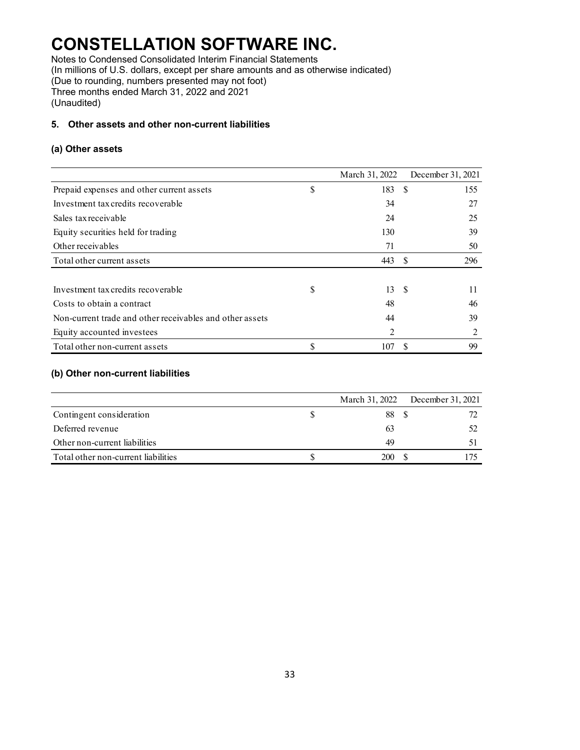Notes to Condensed Consolidated Interim Financial Statements (In millions of U.S. dollars, except per share amounts and as otherwise indicated) (Due to rounding, numbers presented may not foot) Three months ended March 31, 2022 and 2021 (Unaudited)

### **5. Other assets and other non-current liabilities**

#### **(a) Other assets**

|                                                          |    | March 31, 2022 |      | December 31, 2021 |
|----------------------------------------------------------|----|----------------|------|-------------------|
| Prepaid expenses and other current assets                | \$ | 183            | -S   | 155               |
| Investment tax credits recoverable                       |    | 34             |      | 27                |
| Sales tax receivable                                     |    | 24             |      | 25                |
| Equity securities held for trading                       |    | 130            |      | 39                |
| Other receivables                                        |    | 71             |      | 50                |
| Total other current assets                               |    | 443            | - S  | 296               |
|                                                          |    |                |      |                   |
| Investment tax credits recoverable                       | S  | 13             | - \$ | 11                |
| Costs to obtain a contract                               |    | 48             |      | 46                |
| Non-current trade and other receivables and other assets |    | 44             |      | 39                |
| Equity accounted investees                               |    | 2              |      |                   |
| Total other non-current assets                           | \$ | 107            | S    | 99                |

### **(b) Other non-current liabilities**

|                                     | March 31, 2022 | December 31, 2021 |
|-------------------------------------|----------------|-------------------|
| Contingent consideration            | 88             |                   |
| Deferred revenue                    | 63             |                   |
| Other non-current liabilities       | 49             |                   |
| Total other non-current liabilities | 200            |                   |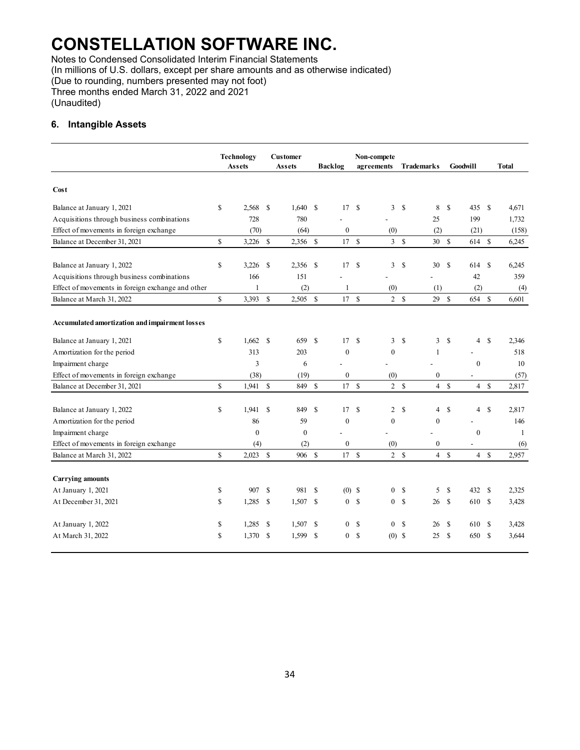Notes to Condensed Consolidated Interim Financial Statements (In millions of U.S. dollars, except per share amounts and as otherwise indicated) (Due to rounding, numbers presented may not foot) Three months ended March 31, 2022 and 2021 (Unaudited)

#### **6. Intangible Assets**

|                                                   | <b>Technology</b><br>Assets |               | <b>Customer</b><br>Assets |               | <b>Backlog</b>             |              | Non-compete<br>agreements      |               | <b>Trademarks</b> |               | Goodwill       |               | <b>Total</b> |
|---------------------------------------------------|-----------------------------|---------------|---------------------------|---------------|----------------------------|--------------|--------------------------------|---------------|-------------------|---------------|----------------|---------------|--------------|
| Cost                                              |                             |               |                           |               |                            |              |                                |               |                   |               |                |               |              |
| Balance at January 1, 2021                        | \$<br>2,568                 | $\mathbf{s}$  | 1,640                     | <sup>\$</sup> | 17S                        |              | 3                              | \$            | 8                 | \$            | 435            | <sup>S</sup>  | 4.671        |
| Acquisitions through business combinations        | 728                         |               | 780                       |               |                            |              |                                |               | 25                |               | 199            |               | 1,732        |
| Effect of movements in foreign exchange           | (70)                        |               | (64)                      |               | $\boldsymbol{0}$           |              | (0)                            |               | (2)               |               | (21)           |               | (158)        |
| Balance at December 31, 2021                      | \$<br>$3,226$ \$            |               | 2,356 \$                  |               | 17S                        |              | 3S                             |               | 30S               |               | 614 \$         |               | 6,245        |
| Balance at January 1, 2022                        | \$<br>3,226                 | \$            | 2,356                     | \$            | 17S                        |              | 3                              | \$            | 30                | \$            | 614            | <sup>\$</sup> | 6,245        |
| Acquisitions through business combinations        | 166                         |               | 151                       |               |                            |              |                                |               |                   |               | 42             |               | 359          |
| Effect of movements in foreign exchange and other | $\mathbf{1}$                |               | (2)                       |               | 1                          |              | (0)                            |               | (1)               |               | (2)            |               | (4)          |
| Balance at March 31, 2022                         | \$<br>3,393                 | \$            | $2,505$ \$                |               | 17S                        |              | 2 S                            |               | 29                | \$            | 654            | $\mathcal{S}$ | 6.601        |
| Accumulated amortization and impairment losses    |                             |               |                           |               |                            |              |                                |               |                   |               |                |               |              |
| Balance at January 1, 2021                        | \$<br>1,662                 | <sup>\$</sup> | 659                       | <sup>\$</sup> | 17                         | -\$          | 3                              | \$            | 3                 | \$            | $\overline{4}$ | <sup>\$</sup> | 2,346        |
| Amortization for the period                       | 313                         |               | 203                       |               | $\mathbf{0}$               |              | $\mathbf{0}$                   |               | 1                 |               |                |               | 518          |
| Impairment charge                                 | 3                           |               | 6                         |               |                            |              |                                |               |                   |               | $\mathbf{0}$   |               | 10           |
| Effect of movements in foreign exchange           | (38)                        |               | (19)                      |               | $\boldsymbol{0}$           |              | (0)                            |               | $\boldsymbol{0}$  |               | $\overline{a}$ |               | (57)         |
| Balance at December 31, 2021                      | \$<br>$1,941$ \$            |               | 849                       | $\mathbf S$   | 17                         | $\mathbf S$  | $\overline{2}$                 | <sup>\$</sup> | $\overline{4}$    | $\mathbf S$   | 4S             |               | 2.817        |
| Balance at January 1, 2022                        | \$<br>1.941                 | <sup>\$</sup> | 849                       | $\mathbf S$   | 17                         |              | <sup>S</sup><br>$\overline{2}$ | \$            | $\overline{4}$    | \$            | 4              | <sup>\$</sup> | 2.817        |
| Amortization for the period                       | 86                          |               | 59                        |               | $\mathbf{0}$               |              | $\mathbf{0}$                   |               | $\boldsymbol{0}$  |               |                |               | 146          |
| Impairment charge                                 | $\mathbf{0}$                |               | $\theta$                  |               |                            |              |                                |               |                   |               | $\mathbf{0}$   |               | -1           |
| Effect of movements in foreign exchange           | (4)                         |               | (2)                       |               | $\boldsymbol{0}$           |              | (0)                            |               | $\mathbf{0}$      |               |                |               | (6)          |
| Balance at March 31, 2022                         | \$<br>2,023                 | $\mathbf S$   | 906 \$                    |               | 17S                        |              | 2 S                            |               |                   | 4S            | 4S             |               | 2,957        |
|                                                   |                             |               |                           |               |                            |              |                                |               |                   |               |                |               |              |
| <b>Carrying amounts</b><br>At January 1, 2021     | \$<br>907                   | <sup>\$</sup> | 981                       | <sup>\$</sup> |                            |              | $\mathbf{0}$                   | \$            | 5                 | <sup>\$</sup> | 432            | <sup>\$</sup> | 2,325        |
|                                                   | \$                          |               |                           |               | $(0)$ \$<br>0 <sup>5</sup> |              |                                | <sup>\$</sup> |                   | <sup>\$</sup> |                |               |              |
| At December 31, 2021                              | 1,285                       | $\mathbf S$   | 1,507                     | <sup>\$</sup> |                            |              | $\mathbf{0}$                   |               | 26                |               | 610            | -S            | 3,428        |
| At January 1, 2022                                | \$<br>1,285                 | <sup>\$</sup> | 1,507                     | \$            | 0 <sup>5</sup>             |              | $\mathbf{0}$                   | \$            | 26                | \$            | 610            | -S            | 3,428        |
| At March 31, 2022                                 | \$<br>$1,370$ \$            |               | 1,599                     | <sup>\$</sup> | $\overline{0}$             | $\mathbf{s}$ | $(0)$ \$                       |               | 25                | <sup>\$</sup> | 650            | -\$           | 3,644        |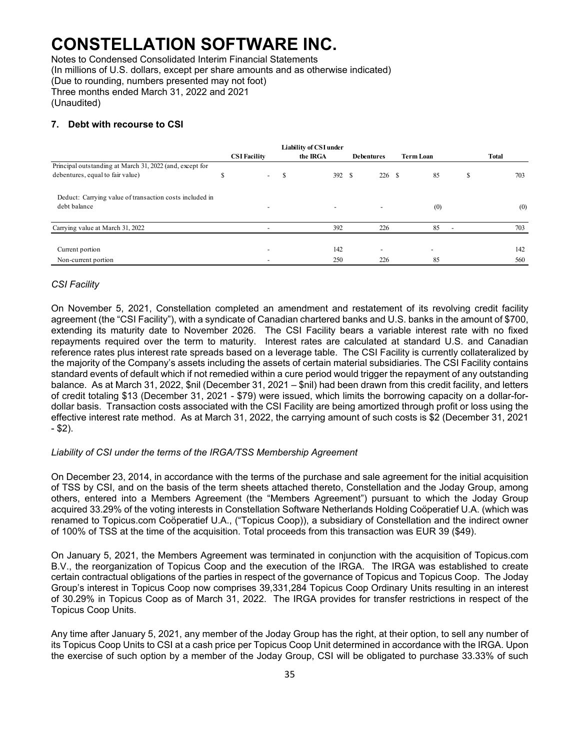Notes to Condensed Consolidated Interim Financial Statements (In millions of U.S. dollars, except per share amounts and as otherwise indicated) (Due to rounding, numbers presented may not foot) Three months ended March 31, 2022 and 2021 (Unaudited)

#### **7. Debt with recourse to CSI**

|                                                          |   | <b>CSI Facility</b>      |   | Liability of CSI under<br>the IRGA | <b>Debentures</b>        | <b>Term Loan</b>         |   | <b>Total</b> |
|----------------------------------------------------------|---|--------------------------|---|------------------------------------|--------------------------|--------------------------|---|--------------|
| Principal outstanding at March 31, 2022 (and, except for |   |                          |   |                                    |                          |                          |   |              |
| debentures, equal to fair value)                         | Ж | $\sim$                   | S | 392 \$                             | 226S                     | 85                       | S | 703          |
| Deduct: Carrying value of transaction costs included in  |   |                          |   |                                    |                          |                          |   |              |
| debt balance                                             |   |                          |   | $\overline{\phantom{a}}$           |                          | (0)                      |   | (0)          |
| Carrying value at March 31, 2022                         |   |                          |   | 392                                | 226                      | 85                       |   | 703          |
|                                                          |   |                          |   |                                    |                          |                          |   |              |
| Current portion                                          |   | $\overline{\phantom{a}}$ |   | 142                                | $\overline{\phantom{a}}$ | $\overline{\phantom{a}}$ |   | 142          |
| Non-current portion                                      |   |                          |   | 250                                | 226                      | 85                       |   | 560          |

#### *CSI Facility*

On November 5, 2021, Constellation completed an amendment and restatement of its revolving credit facility agreement (the "CSI Facility"), with a syndicate of Canadian chartered banks and U.S. banks in the amount of \$700, extending its maturity date to November 2026. The CSI Facility bears a variable interest rate with no fixed repayments required over the term to maturity. Interest rates are calculated at standard U.S. and Canadian reference rates plus interest rate spreads based on a leverage table. The CSI Facility is currently collateralized by the majority of the Company's assets including the assets of certain material subsidiaries. The CSI Facility contains standard events of default which if not remedied within a cure period would trigger the repayment of any outstanding balance. As at March 31, 2022, \$nil (December 31, 2021 – \$nil) had been drawn from this credit facility, and letters of credit totaling \$13 (December 31, 2021 - \$79) were issued, which limits the borrowing capacity on a dollar-fordollar basis. Transaction costs associated with the CSI Facility are being amortized through profit or loss using the effective interest rate method. As at March 31, 2022, the carrying amount of such costs is \$2 (December 31, 2021  $-$  \$2).

#### *Liability of CSI under the terms of the IRGA/TSS Membership Agreement*

On December 23, 2014, in accordance with the terms of the purchase and sale agreement for the initial acquisition of TSS by CSI, and on the basis of the term sheets attached thereto, Constellation and the Joday Group, among others, entered into a Members Agreement (the "Members Agreement") pursuant to which the Joday Group acquired 33.29% of the voting interests in Constellation Software Netherlands Holding Coöperatief U.A. (which was renamed to Topicus.com Coöperatief U.A., ("Topicus Coop)), a subsidiary of Constellation and the indirect owner of 100% of TSS at the time of the acquisition. Total proceeds from this transaction was EUR 39 (\$49).

On January 5, 2021, the Members Agreement was terminated in conjunction with the acquisition of Topicus.com B.V., the reorganization of Topicus Coop and the execution of the IRGA. The IRGA was established to create certain contractual obligations of the parties in respect of the governance of Topicus and Topicus Coop. The Joday Group's interest in Topicus Coop now comprises 39,331,284 Topicus Coop Ordinary Units resulting in an interest of 30.29% in Topicus Coop as of March 31, 2022. The IRGA provides for transfer restrictions in respect of the Topicus Coop Units.

Any time after January 5, 2021, any member of the Joday Group has the right, at their option, to sell any number of its Topicus Coop Units to CSI at a cash price per Topicus Coop Unit determined in accordance with the IRGA. Upon the exercise of such option by a member of the Joday Group, CSI will be obligated to purchase 33.33% of such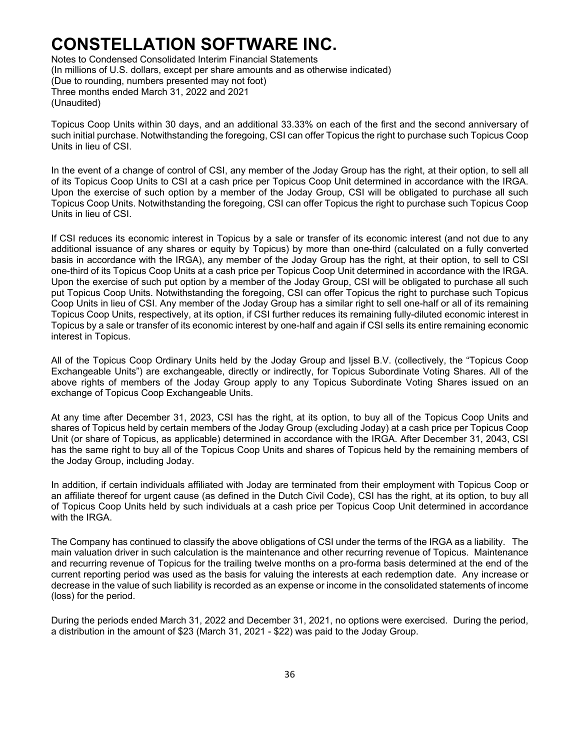Notes to Condensed Consolidated Interim Financial Statements (In millions of U.S. dollars, except per share amounts and as otherwise indicated) (Due to rounding, numbers presented may not foot) Three months ended March 31, 2022 and 2021 (Unaudited)

Topicus Coop Units within 30 days, and an additional 33.33% on each of the first and the second anniversary of such initial purchase. Notwithstanding the foregoing, CSI can offer Topicus the right to purchase such Topicus Coop Units in lieu of CSI.

In the event of a change of control of CSI, any member of the Joday Group has the right, at their option, to sell all of its Topicus Coop Units to CSI at a cash price per Topicus Coop Unit determined in accordance with the IRGA. Upon the exercise of such option by a member of the Joday Group, CSI will be obligated to purchase all such Topicus Coop Units. Notwithstanding the foregoing, CSI can offer Topicus the right to purchase such Topicus Coop Units in lieu of CSI.

If CSI reduces its economic interest in Topicus by a sale or transfer of its economic interest (and not due to any additional issuance of any shares or equity by Topicus) by more than one-third (calculated on a fully converted basis in accordance with the IRGA), any member of the Joday Group has the right, at their option, to sell to CSI one-third of its Topicus Coop Units at a cash price per Topicus Coop Unit determined in accordance with the IRGA. Upon the exercise of such put option by a member of the Joday Group, CSI will be obligated to purchase all such put Topicus Coop Units. Notwithstanding the foregoing, CSI can offer Topicus the right to purchase such Topicus Coop Units in lieu of CSI. Any member of the Joday Group has a similar right to sell one-half or all of its remaining Topicus Coop Units, respectively, at its option, if CSI further reduces its remaining fully-diluted economic interest in Topicus by a sale or transfer of its economic interest by one-half and again if CSI sells its entire remaining economic interest in Topicus.

All of the Topicus Coop Ordinary Units held by the Joday Group and Ijssel B.V. (collectively, the "Topicus Coop Exchangeable Units") are exchangeable, directly or indirectly, for Topicus Subordinate Voting Shares. All of the above rights of members of the Joday Group apply to any Topicus Subordinate Voting Shares issued on an exchange of Topicus Coop Exchangeable Units.

At any time after December 31, 2023, CSI has the right, at its option, to buy all of the Topicus Coop Units and shares of Topicus held by certain members of the Joday Group (excluding Joday) at a cash price per Topicus Coop Unit (or share of Topicus, as applicable) determined in accordance with the IRGA. After December 31, 2043, CSI has the same right to buy all of the Topicus Coop Units and shares of Topicus held by the remaining members of the Joday Group, including Joday.

In addition, if certain individuals affiliated with Joday are terminated from their employment with Topicus Coop or an affiliate thereof for urgent cause (as defined in the Dutch Civil Code), CSI has the right, at its option, to buy all of Topicus Coop Units held by such individuals at a cash price per Topicus Coop Unit determined in accordance with the IRGA.

The Company has continued to classify the above obligations of CSI under the terms of the IRGA as a liability. The main valuation driver in such calculation is the maintenance and other recurring revenue of Topicus. Maintenance and recurring revenue of Topicus for the trailing twelve months on a pro-forma basis determined at the end of the current reporting period was used as the basis for valuing the interests at each redemption date. Any increase or decrease in the value of such liability is recorded as an expense or income in the consolidated statements of income (loss) for the period.

During the periods ended March 31, 2022 and December 31, 2021, no options were exercised. During the period, a distribution in the amount of \$23 (March 31, 2021 - \$22) was paid to the Joday Group.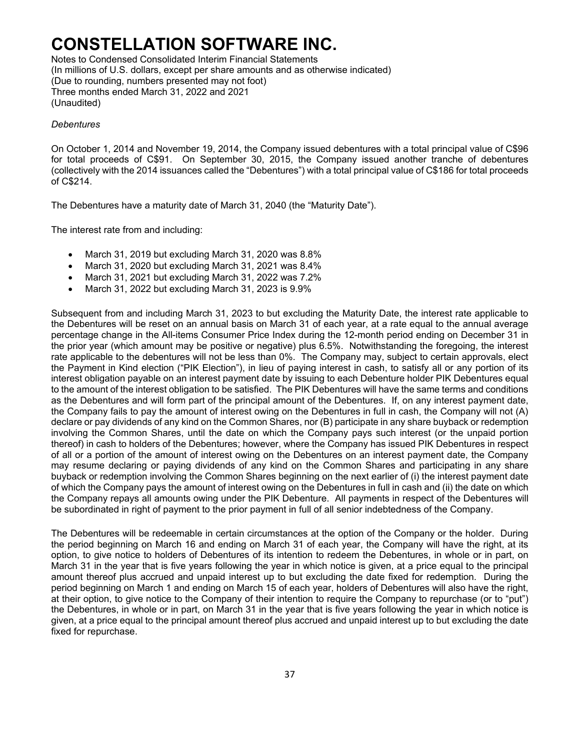Notes to Condensed Consolidated Interim Financial Statements (In millions of U.S. dollars, except per share amounts and as otherwise indicated) (Due to rounding, numbers presented may not foot) Three months ended March 31, 2022 and 2021 (Unaudited)

#### *Debentures*

On October 1, 2014 and November 19, 2014, the Company issued debentures with a total principal value of C\$96 for total proceeds of C\$91. On September 30, 2015, the Company issued another tranche of debentures (collectively with the 2014 issuances called the "Debentures") with a total principal value of C\$186 for total proceeds of C\$214.

The Debentures have a maturity date of March 31, 2040 (the "Maturity Date").

The interest rate from and including:

- March 31, 2019 but excluding March 31, 2020 was 8.8%
- March 31, 2020 but excluding March 31, 2021 was 8.4%
- March 31, 2021 but excluding March 31, 2022 was 7.2%
- March 31, 2022 but excluding March 31, 2023 is 9.9%

Subsequent from and including March 31, 2023 to but excluding the Maturity Date, the interest rate applicable to the Debentures will be reset on an annual basis on March 31 of each year, at a rate equal to the annual average percentage change in the All-items Consumer Price Index during the 12-month period ending on December 31 in the prior year (which amount may be positive or negative) plus 6.5%. Notwithstanding the foregoing, the interest rate applicable to the debentures will not be less than 0%. The Company may, subject to certain approvals, elect the Payment in Kind election ("PIK Election"), in lieu of paying interest in cash, to satisfy all or any portion of its interest obligation payable on an interest payment date by issuing to each Debenture holder PIK Debentures equal to the amount of the interest obligation to be satisfied. The PIK Debentures will have the same terms and conditions as the Debentures and will form part of the principal amount of the Debentures. If, on any interest payment date, the Company fails to pay the amount of interest owing on the Debentures in full in cash, the Company will not (A) declare or pay dividends of any kind on the Common Shares, nor (B) participate in any share buyback or redemption involving the Common Shares, until the date on which the Company pays such interest (or the unpaid portion thereof) in cash to holders of the Debentures; however, where the Company has issued PIK Debentures in respect of all or a portion of the amount of interest owing on the Debentures on an interest payment date, the Company may resume declaring or paying dividends of any kind on the Common Shares and participating in any share buyback or redemption involving the Common Shares beginning on the next earlier of (i) the interest payment date of which the Company pays the amount of interest owing on the Debentures in full in cash and (ii) the date on which the Company repays all amounts owing under the PIK Debenture. All payments in respect of the Debentures will be subordinated in right of payment to the prior payment in full of all senior indebtedness of the Company.

The Debentures will be redeemable in certain circumstances at the option of the Company or the holder. During the period beginning on March 16 and ending on March 31 of each year, the Company will have the right, at its option, to give notice to holders of Debentures of its intention to redeem the Debentures, in whole or in part, on March 31 in the year that is five years following the year in which notice is given, at a price equal to the principal amount thereof plus accrued and unpaid interest up to but excluding the date fixed for redemption. During the period beginning on March 1 and ending on March 15 of each year, holders of Debentures will also have the right, at their option, to give notice to the Company of their intention to require the Company to repurchase (or to "put") the Debentures, in whole or in part, on March 31 in the year that is five years following the year in which notice is given, at a price equal to the principal amount thereof plus accrued and unpaid interest up to but excluding the date fixed for repurchase.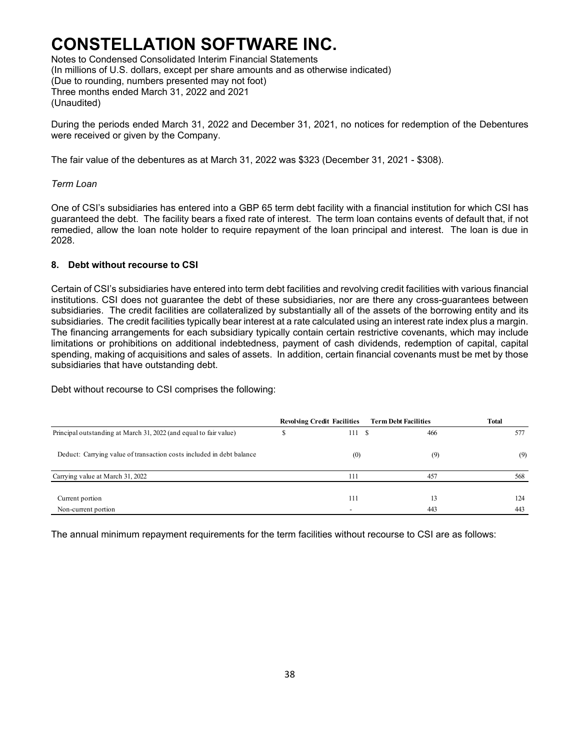Notes to Condensed Consolidated Interim Financial Statements (In millions of U.S. dollars, except per share amounts and as otherwise indicated) (Due to rounding, numbers presented may not foot) Three months ended March 31, 2022 and 2021 (Unaudited)

During the periods ended March 31, 2022 and December 31, 2021, no notices for redemption of the Debentures were received or given by the Company.

The fair value of the debentures as at March 31, 2022 was \$323 (December 31, 2021 - \$308).

#### *Term Loan*

One of CSI's subsidiaries has entered into a GBP 65 term debt facility with a financial institution for which CSI has guaranteed the debt. The facility bears a fixed rate of interest. The term loan contains events of default that, if not remedied, allow the loan note holder to require repayment of the loan principal and interest. The loan is due in 2028.

### **8. Debt without recourse to CSI**

Certain of CSI's subsidiaries have entered into term debt facilities and revolving credit facilities with various financial institutions. CSI does not guarantee the debt of these subsidiaries, nor are there any cross-guarantees between subsidiaries. The credit facilities are collateralized by substantially all of the assets of the borrowing entity and its subsidiaries. The credit facilities typically bear interest at a rate calculated using an interest rate index plus a margin. The financing arrangements for each subsidiary typically contain certain restrictive covenants, which may include limitations or prohibitions on additional indebtedness, payment of cash dividends, redemption of capital, capital spending, making of acquisitions and sales of assets. In addition, certain financial covenants must be met by those subsidiaries that have outstanding debt.

Debt without recourse to CSI comprises the following:

|                                                                      | <b>Revolving Credit Facilities</b> |      | <b>Term Debt Facilities</b> | <b>Total</b> |
|----------------------------------------------------------------------|------------------------------------|------|-----------------------------|--------------|
| Principal outstanding at March 31, 2022 (and equal to fair value)    | 111                                | - \$ | 466                         | 577          |
| Deduct: Carrying value of transaction costs included in debt balance | (0)                                |      | (9)                         | (9)          |
| Carrying value at March 31, 2022                                     | 111                                |      | 457                         | 568          |
| Current portion                                                      | 111                                |      | 13                          | 124          |
| Non-current portion                                                  |                                    |      | 443                         | 443          |

The annual minimum repayment requirements for the term facilities without recourse to CSI are as follows: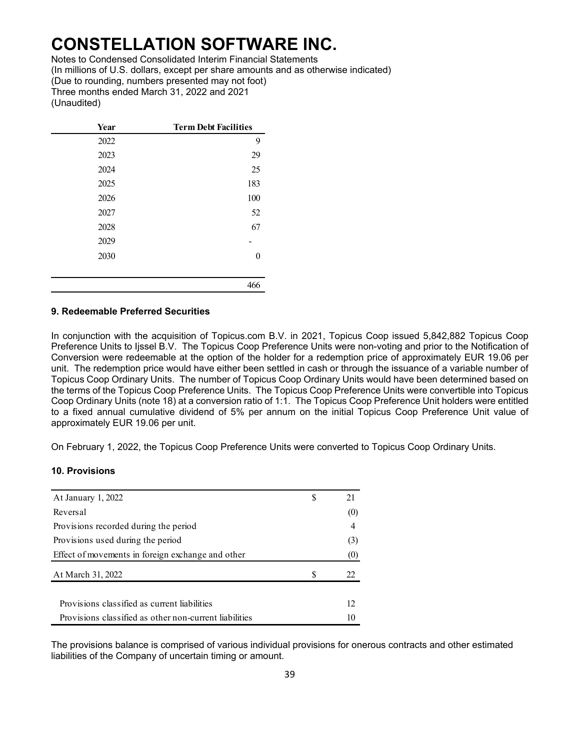Notes to Condensed Consolidated Interim Financial Statements (In millions of U.S. dollars, except per share amounts and as otherwise indicated) (Due to rounding, numbers presented may not foot) Three months ended March 31, 2022 and 2021 (Unaudited)

| Year | <b>Term Debt Facilities</b> |
|------|-----------------------------|
| 2022 | 9                           |
| 2023 | 29                          |
| 2024 | 25                          |
| 2025 | 183                         |
| 2026 | 100                         |
| 2027 | 52                          |
| 2028 | 67                          |
| 2029 |                             |
| 2030 |                             |
|      |                             |
|      | 466                         |

#### **9. Redeemable Preferred Securities**

In conjunction with the acquisition of Topicus.com B.V. in 2021, Topicus Coop issued 5,842,882 Topicus Coop Preference Units to Ijssel B.V. The Topicus Coop Preference Units were non-voting and prior to the Notification of Conversion were redeemable at the option of the holder for a redemption price of approximately EUR 19.06 per unit. The redemption price would have either been settled in cash or through the issuance of a variable number of Topicus Coop Ordinary Units. The number of Topicus Coop Ordinary Units would have been determined based on the terms of the Topicus Coop Preference Units. The Topicus Coop Preference Units were convertible into Topicus Coop Ordinary Units (note 18) at a conversion ratio of 1:1. The Topicus Coop Preference Unit holders were entitled to a fixed annual cumulative dividend of 5% per annum on the initial Topicus Coop Preference Unit value of approximately EUR 19.06 per unit.

On February 1, 2022, the Topicus Coop Preference Units were converted to Topicus Coop Ordinary Units.

### **10. Provisions**

| At January 1, 2022                                     | S |     |
|--------------------------------------------------------|---|-----|
| Reversal                                               |   | (0) |
| Provisions recorded during the period                  |   | 4   |
| Provisions used during the period                      |   | (3) |
| Effect of movements in foreign exchange and other      |   | (0) |
| At March 31, 2022                                      | S | 22. |
| Provisions classified as current liabilities           |   | 12  |
| Provisions classified as other non-current liabilities |   | 10  |

The provisions balance is comprised of various individual provisions for onerous contracts and other estimated liabilities of the Company of uncertain timing or amount.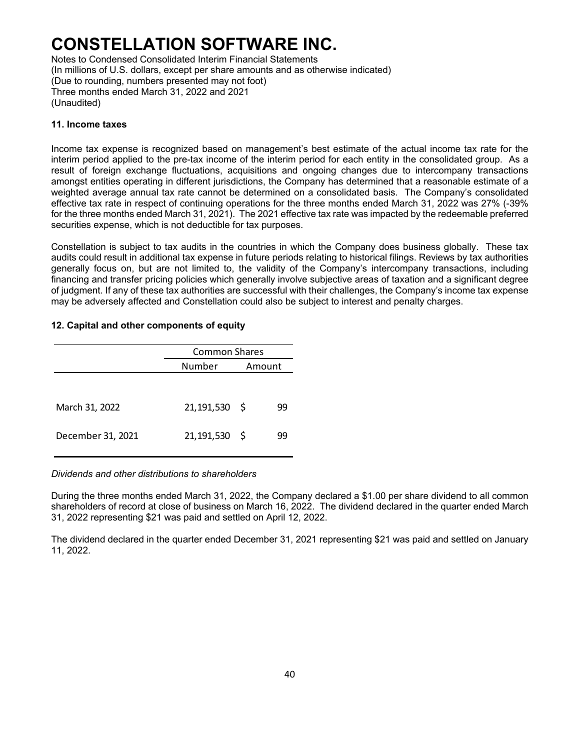Notes to Condensed Consolidated Interim Financial Statements (In millions of U.S. dollars, except per share amounts and as otherwise indicated) (Due to rounding, numbers presented may not foot) Three months ended March 31, 2022 and 2021 (Unaudited)

#### **11. Income taxes**

Income tax expense is recognized based on management's best estimate of the actual income tax rate for the interim period applied to the pre-tax income of the interim period for each entity in the consolidated group. As a result of foreign exchange fluctuations, acquisitions and ongoing changes due to intercompany transactions amongst entities operating in different jurisdictions, the Company has determined that a reasonable estimate of a weighted average annual tax rate cannot be determined on a consolidated basis. The Company's consolidated effective tax rate in respect of continuing operations for the three months ended March 31, 2022 was 27% (-39% for the three months ended March 31, 2021). The 2021 effective tax rate was impacted by the redeemable preferred securities expense, which is not deductible for tax purposes.

Constellation is subject to tax audits in the countries in which the Company does business globally. These tax audits could result in additional tax expense in future periods relating to historical filings. Reviews by tax authorities generally focus on, but are not limited to, the validity of the Company's intercompany transactions, including financing and transfer pricing policies which generally involve subjective areas of taxation and a significant degree of judgment. If any of these tax authorities are successful with their challenges, the Company's income tax expense may be adversely affected and Constellation could also be subject to interest and penalty charges.

### **12. Capital and other components of equity**

|                   | <b>Common Shares</b> |  |        |  |  |  |  |  |
|-------------------|----------------------|--|--------|--|--|--|--|--|
|                   | Number               |  | Amount |  |  |  |  |  |
|                   |                      |  |        |  |  |  |  |  |
| March 31, 2022    | 21,191,530 \$        |  | 99     |  |  |  |  |  |
| December 31, 2021 | 21,191,530 \$        |  | 99     |  |  |  |  |  |

### *Dividends and other distributions to shareholders*

During the three months ended March 31, 2022, the Company declared a \$1.00 per share dividend to all common shareholders of record at close of business on March 16, 2022. The dividend declared in the quarter ended March 31, 2022 representing \$21 was paid and settled on April 12, 2022.

The dividend declared in the quarter ended December 31, 2021 representing \$21 was paid and settled on January 11, 2022.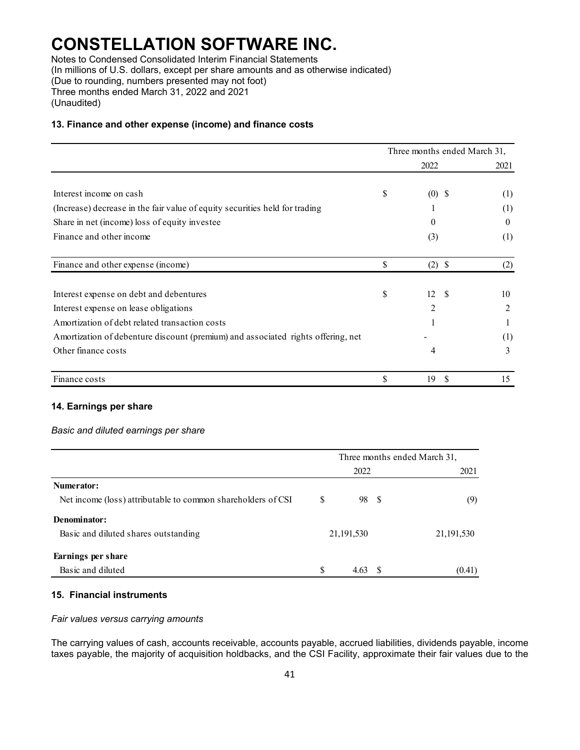Notes to Condensed Consolidated Interim Financial Statements (In millions of U.S. dollars, except per share amounts and as otherwise indicated) (Due to rounding, numbers presented may not foot) Three months ended March 31, 2022 and 2021 (Unaudited)

#### **13. Finance and other expense (income) and finance costs**

|                                                                                  |    | Three months ended March 31, |          |
|----------------------------------------------------------------------------------|----|------------------------------|----------|
|                                                                                  |    | 2022                         | 2021     |
| Interest income on cash                                                          | \$ | $(0)$ \$                     | (1)      |
| (Increase) decrease in the fair value of equity securities held for trading      |    |                              | (1)      |
| Share in net (income) loss of equity investee                                    |    | $\Omega$                     | $\theta$ |
| Finance and other income                                                         |    | (3)                          | (1)      |
| Finance and other expense (income)                                               | \$ | $(2)$ \$                     | (2)      |
| Interest expense on debt and debentures                                          | \$ | 12<br>-S                     | 10       |
| Interest expense on lease obligations                                            |    | 2                            | 2        |
| Amortization of debt related transaction costs                                   |    |                              |          |
| Amortization of debenture discount (premium) and associated rights offering, net |    |                              | (1)      |
| Other finance costs                                                              |    | 4                            | 3        |
| Finance costs                                                                    | S  | 19<br><b>S</b>               | 15       |

### **14. Earnings per share**

#### *Basic and diluted earnings per share*

|                                                              |              | Three months ended March 31, |
|--------------------------------------------------------------|--------------|------------------------------|
|                                                              | 2022         | 2021                         |
| Numerator:                                                   |              |                              |
| Net income (loss) attributable to common shareholders of CSI | \$<br>98 \$  | (9)                          |
| Denominator:                                                 |              |                              |
| Basic and diluted shares outstanding                         | 21, 191, 530 | 21, 191, 530                 |
| Earnings per share                                           |              |                              |
| Basic and diluted                                            | \$<br>4.63   | (0.41)                       |

### **15. Financial instruments**

#### *Fair values versus carrying amounts*

The carrying values of cash, accounts receivable, accounts payable, accrued liabilities, dividends payable, income taxes payable, the majority of acquisition holdbacks, and the CSI Facility, approximate their fair values due to the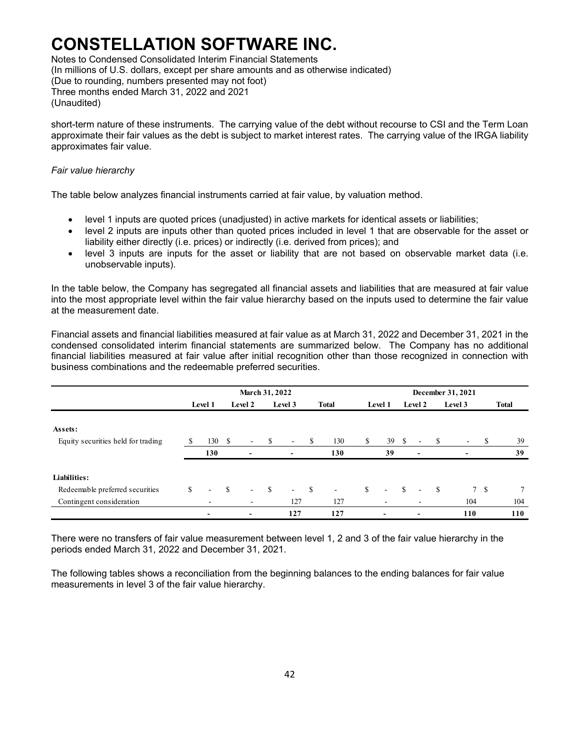Notes to Condensed Consolidated Interim Financial Statements (In millions of U.S. dollars, except per share amounts and as otherwise indicated) (Due to rounding, numbers presented may not foot) Three months ended March 31, 2022 and 2021 (Unaudited)

short-term nature of these instruments. The carrying value of the debt without recourse to CSI and the Term Loan approximate their fair values as the debt is subject to market interest rates. The carrying value of the IRGA liability approximates fair value.

#### *Fair value hierarchy*

The table below analyzes financial instruments carried at fair value, by valuation method.

- level 1 inputs are quoted prices (unadjusted) in active markets for identical assets or liabilities;
- level 2 inputs are inputs other than quoted prices included in level 1 that are observable for the asset or liability either directly (i.e. prices) or indirectly (i.e. derived from prices); and
- level 3 inputs are inputs for the asset or liability that are not based on observable market data (i.e. unobservable inputs).

In the table below, the Company has segregated all financial assets and liabilities that are measured at fair value into the most appropriate level within the fair value hierarchy based on the inputs used to determine the fair value at the measurement date.

Financial assets and financial liabilities measured at fair value as at March 31, 2022 and December 31, 2021 in the condensed consolidated interim financial statements are summarized below. The Company has no additional financial liabilities measured at fair value after initial recognition other than those recognized in connection with business combinations and the redeemable preferred securities.

|                                               |               | <b>March 31, 2022</b>    |               |                          |              |                              |              |              |               |                          |               | December 31, 2021        |      |         |     |                 |  |  |  |
|-----------------------------------------------|---------------|--------------------------|---------------|--------------------------|--------------|------------------------------|--------------|--------------|---------------|--------------------------|---------------|--------------------------|------|---------|-----|-----------------|--|--|--|
|                                               |               | Level 1                  |               | Level 2                  |              | Level 3                      |              | <b>Total</b> |               | Level 1                  |               | Level 2                  |      | Level 3 |     | <b>Total</b>    |  |  |  |
| Assets:<br>Equity securities held for trading | <sup>\$</sup> | 130                      | - S           | $\sim$                   | -S           | $\sim$                       | <sup>S</sup> | 130          | S.            | 39                       | <sup>S</sup>  | $\sim$                   | -S   | $\sim$  | -S  | 39              |  |  |  |
|                                               |               | 130                      |               | $\overline{\phantom{0}}$ |              | $\qquad \qquad \blacksquare$ |              | 130          |               | 39                       |               | $\overline{\phantom{a}}$ |      |         |     | 39              |  |  |  |
| Liabilities:                                  |               |                          |               |                          |              |                              |              |              |               |                          |               |                          |      |         |     |                 |  |  |  |
| Redeemable preferred securities               | S.            | $\overline{\phantom{0}}$ | <sup>\$</sup> | $\sim$                   | $\mathbf{s}$ | $\sim$                       | $\mathbf{s}$ | $\sim$       | <sup>\$</sup> | $\sim$                   | <sup>\$</sup> | ٠                        | - \$ |         | 7 S | $7\phantom{.0}$ |  |  |  |
| Contingent consideration                      |               |                          |               | ۰                        |              | 127                          |              | 127          |               | ۰                        |               |                          |      | 104     |     | 104             |  |  |  |
|                                               |               | $\overline{\phantom{a}}$ |               | -                        |              | 127                          |              | 127          |               | $\overline{\phantom{0}}$ |               | $\overline{\phantom{0}}$ |      | 110     |     | 110             |  |  |  |

There were no transfers of fair value measurement between level 1, 2 and 3 of the fair value hierarchy in the periods ended March 31, 2022 and December 31, 2021.

The following tables shows a reconciliation from the beginning balances to the ending balances for fair value measurements in level 3 of the fair value hierarchy.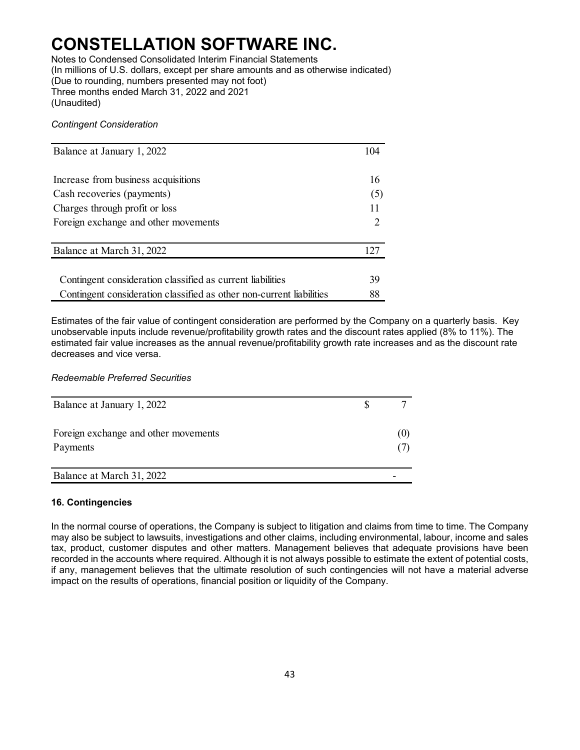Notes to Condensed Consolidated Interim Financial Statements (In millions of U.S. dollars, except per share amounts and as otherwise indicated) (Due to rounding, numbers presented may not foot) Three months ended March 31, 2022 and 2021 (Unaudited)

#### *Contingent Consideration*

| Balance at January 1, 2022                                           | 104                                                                                                                                                             |
|----------------------------------------------------------------------|-----------------------------------------------------------------------------------------------------------------------------------------------------------------|
| Increase from business acquisitions                                  | 16                                                                                                                                                              |
| Cash recoveries (payments)                                           | (5)                                                                                                                                                             |
| Charges through profit or loss                                       | 11                                                                                                                                                              |
| Foreign exchange and other movements                                 | $\mathcal{D}_{\mathcal{A}}^{\mathcal{A}}(\mathcal{A})=\mathcal{D}_{\mathcal{A}}^{\mathcal{A}}(\mathcal{A})\mathcal{D}_{\mathcal{A}}^{\mathcal{A}}(\mathcal{A})$ |
| Balance at March 31, 2022                                            | 127                                                                                                                                                             |
| Contingent consideration classified as current liabilities           | 39                                                                                                                                                              |
| Contingent consideration classified as other non-current liabilities | 88                                                                                                                                                              |

Estimates of the fair value of contingent consideration are performed by the Company on a quarterly basis. Key unobservable inputs include revenue/profitability growth rates and the discount rates applied (8% to 11%). The estimated fair value increases as the annual revenue/profitability growth rate increases and as the discount rate decreases and vice versa.

#### *Redeemable Preferred Securities*

| Balance at January 1, 2022                       |     |
|--------------------------------------------------|-----|
| Foreign exchange and other movements<br>Payments | (U) |
| Balance at March 31, 2022                        |     |

### **16. Contingencies**

In the normal course of operations, the Company is subject to litigation and claims from time to time. The Company may also be subject to lawsuits, investigations and other claims, including environmental, labour, income and sales tax, product, customer disputes and other matters. Management believes that adequate provisions have been recorded in the accounts where required. Although it is not always possible to estimate the extent of potential costs, if any, management believes that the ultimate resolution of such contingencies will not have a material adverse impact on the results of operations, financial position or liquidity of the Company.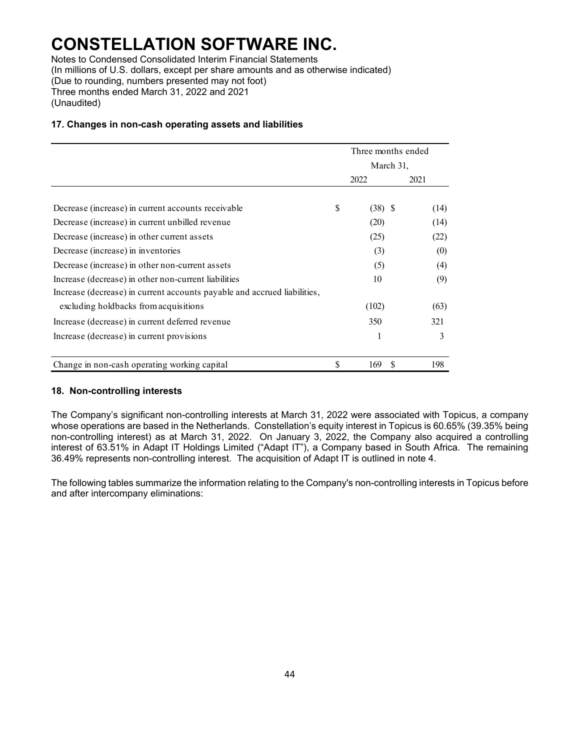Notes to Condensed Consolidated Interim Financial Statements (In millions of U.S. dollars, except per share amounts and as otherwise indicated) (Due to rounding, numbers presented may not foot) Three months ended March 31, 2022 and 2021 (Unaudited)

### **17. Changes in non-cash operating assets and liabilities**

|                                                                          | Three months ended |           |    |      |
|--------------------------------------------------------------------------|--------------------|-----------|----|------|
|                                                                          | March 31,          |           |    |      |
|                                                                          |                    | 2022      |    | 2021 |
|                                                                          |                    |           |    |      |
| Decrease (increase) in current accounts receivable                       | \$                 | $(38)$ \$ |    | (14) |
| Decrease (increase) in current unbilled revenue                          |                    | (20)      |    | (14) |
| Decrease (increase) in other current assets                              |                    | (25)      |    | (22) |
| Decrease (increase) in inventories                                       |                    | (3)       |    | (0)  |
| Decrease (increase) in other non-current assets                          |                    | (5)       |    | (4)  |
| Increase (decrease) in other non-current liabilities                     |                    | 10        |    | (9)  |
| Increase (decrease) in current accounts payable and accrued liabilities, |                    |           |    |      |
| excluding holdbacks from acquisitions                                    |                    | (102)     |    | (63) |
| Increase (decrease) in current deferred revenue                          |                    | 350       |    | 321  |
| Increase (decrease) in current provisions                                |                    |           |    | 3    |
| Change in non-cash operating working capital                             | \$                 | 169       | \$ | 198  |

#### **18. Non-controlling interests**

The Company's significant non-controlling interests at March 31, 2022 were associated with Topicus, a company whose operations are based in the Netherlands. Constellation's equity interest in Topicus is 60.65% (39.35% being non-controlling interest) as at March 31, 2022. On January 3, 2022, the Company also acquired a controlling interest of 63.51% in Adapt IT Holdings Limited ("Adapt IT"), a Company based in South Africa. The remaining 36.49% represents non-controlling interest. The acquisition of Adapt IT is outlined in note 4.

The following tables summarize the information relating to the Company's non-controlling interests in Topicus before and after intercompany eliminations: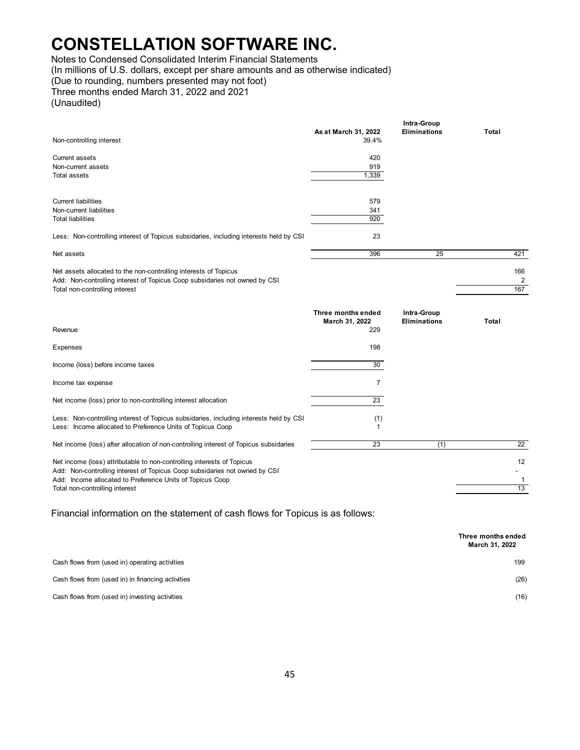Notes to Condensed Consolidated Interim Financial Statements

(In millions of U.S. dollars, except per share amounts and as otherwise indicated)

(Due to rounding, numbers presented may not foot)

Three months ended March 31, 2022 and 2021

(Unaudited)

|                                                                                        |                      | Intra-Group         |       |     |
|----------------------------------------------------------------------------------------|----------------------|---------------------|-------|-----|
|                                                                                        | As at March 31, 2022 | <b>Eliminations</b> | Total |     |
| Non-controlling interest                                                               | 39.4%                |                     |       |     |
|                                                                                        |                      |                     |       |     |
| <b>Current assets</b>                                                                  | 420                  |                     |       |     |
| Non-current assets                                                                     | 919                  |                     |       |     |
| <b>Total assets</b>                                                                    | 1,339                |                     |       |     |
|                                                                                        |                      |                     |       |     |
| <b>Current liabilities</b>                                                             | 579                  |                     |       |     |
| Non-current liabilities                                                                | 341                  |                     |       |     |
| <b>Total liabilities</b>                                                               | 920                  |                     |       |     |
| Less: Non-controlling interest of Topicus subsidaries, including interests held by CSI | 23                   |                     |       |     |
|                                                                                        |                      |                     |       |     |
| Net assets                                                                             | 396                  | 25                  |       | 421 |
| Net assets allocated to the non-controlling interests of Topicus                       |                      |                     |       | 166 |
| Add: Non-controlling interest of Topicus Coop subsidaries not owned by CSI             |                      |                     |       | 2   |
| Total non-controlling interest                                                         |                      |                     |       | 167 |
|                                                                                        |                      |                     |       |     |
|                                                                                        | Three months ended   | Intra-Group         |       |     |
|                                                                                        | March 31, 2022       | <b>Eliminations</b> | Total |     |
| Revenue                                                                                | 229                  |                     |       |     |
|                                                                                        |                      |                     |       |     |
| <b>Expenses</b>                                                                        | 198                  |                     |       |     |
|                                                                                        |                      |                     |       |     |
| Income (loss) before income taxes                                                      | 30                   |                     |       |     |
| Income tax expense                                                                     | $\overline{7}$       |                     |       |     |
|                                                                                        |                      |                     |       |     |
| Net income (loss) prior to non-controlling interest allocation                         | 23                   |                     |       |     |
| Less: Non-controlling interest of Topicus subsidaries, including interests held by CSI | (1)                  |                     |       |     |
| Less: Income allocated to Preference Units of Topicus Coop                             | 1                    |                     |       |     |
|                                                                                        |                      |                     |       |     |
|                                                                                        |                      |                     |       |     |
| Net income (loss) after allocation of non-controlling interest of Topicus subsidaries  | 23                   | (1)                 |       | 22  |
| Net income (loss) attributable to non-controlling interests of Topicus                 |                      |                     |       | 12  |
| Add: Non-controlling interest of Topicus Coop subsidaries not owned by CSI             |                      |                     |       |     |
| Add: Income allocated to Preference Units of Topicus Coop                              |                      |                     |       | 1   |
| Total non-controlling interest                                                         |                      |                     |       | 13  |

Financial information on the statement of cash flows for Topicus is as follows:

|                                                   | Three months ended<br>March 31, 2022 |
|---------------------------------------------------|--------------------------------------|
| Cash flows from (used in) operating activities    | 199                                  |
| Cash flows from (used in) in financing activities | (26)                                 |
| Cash flows from (used in) investing activities    | (16)                                 |